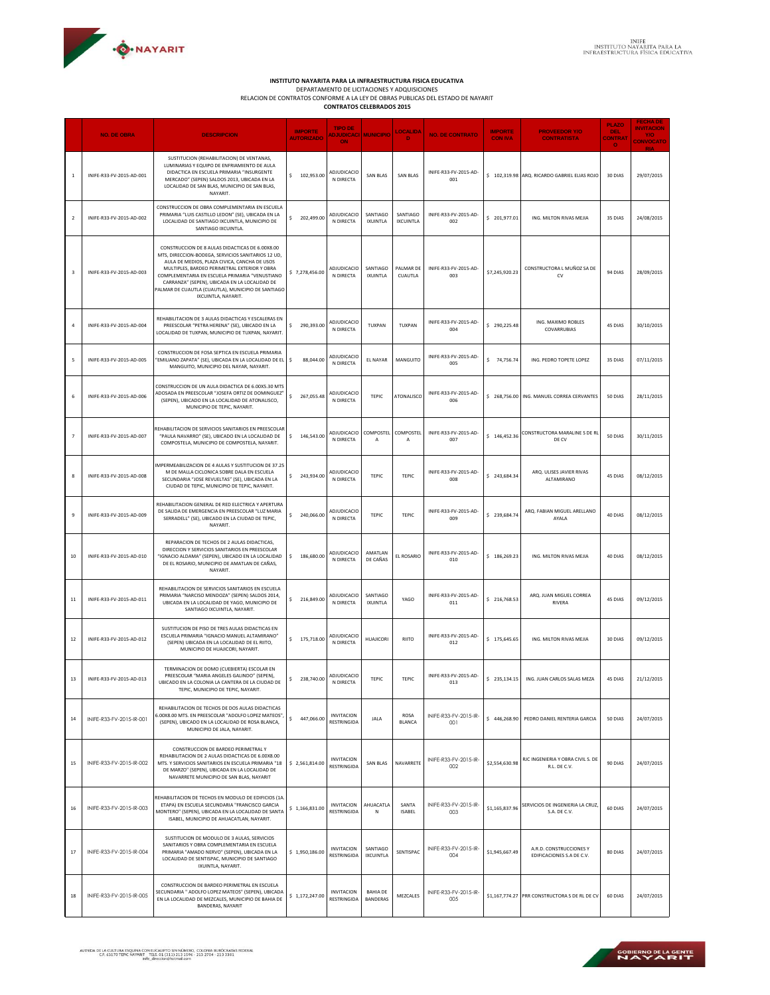

**INSTITUTO NAYARITA PARA LA INFRAESTRUCTURA FISICA EDUCATIVA**<br>DEPARTAMENTO DE LICITACIONES Y ADQUISICIONES<br>RELACION DE CONTRATOS CONTRATOS CELEBRADOS 2015<br>CONTRATOS CELEBRADOS 2015

|                | <b>NO. DE OBRA</b>       | <b>DESCRIPCION</b>                                                                                                                                                                                                                                                                                                                                                                    | <b>IMPORTE</b><br><b>AUTORIZADO</b> | <b>TIPO DE</b><br>ADJUDICACI MUNICIPIO<br><b>ON</b> |                                    | <b>LOCALIDA</b><br>D         | <b>NO. DE CONTRATO</b>       | <b>IMPORTE</b><br><b>CON IVA</b> | <b>PROVEEDOR Y/O</b><br><b>CONTRATISTA</b>           | <b>PLAZO</b><br><b>DEL</b><br><b>CONTRAT</b> | <b>INVITACION</b><br>Y/O<br><b>CONVOCATO</b> |
|----------------|--------------------------|---------------------------------------------------------------------------------------------------------------------------------------------------------------------------------------------------------------------------------------------------------------------------------------------------------------------------------------------------------------------------------------|-------------------------------------|-----------------------------------------------------|------------------------------------|------------------------------|------------------------------|----------------------------------|------------------------------------------------------|----------------------------------------------|----------------------------------------------|
| -1             | INIFE-R33-FV-2015-AD-001 | SUSTITUCION (REHABILITACION) DE VENTANAS,<br>LUMINARIAS Y EQUIPO DE ENFRIAMIENTO DE AULA<br>DIDACTICA EN ESCUELA PRIMARIA "INSURGENTE<br>MERCADO" (SEPEN) SALDOS 2013, UBICADA EN LA<br>LOCALIDAD DE SAN BLAS, MUNICIPIO DE SAN BLAS,<br>NAYARIT.                                                                                                                                     | \$102,953.00                        | ADJUDICACIO<br>N DIRECTA                            | SAN BLAS                           | <b>SAN BLAS</b>              | INIFE-R33-FV-2015-AD-<br>001 |                                  | \$102,319.98 ARQ. RICARDO GABRIEL ELIAS ROJO         | $\bullet$<br>30 DIAS                         | 29/07/2015                                   |
| $\overline{2}$ | INIFE-R33-FV-2015-AD-002 | CONSTRUCCION DE OBRA COMPLEMENTARIA EN ESCUELA<br>PRIMARIA "LUIS CASTILLO LEDON" (SE), UBICADA EN LA<br>LOCALIDAD DE SANTIAGO IXCUINTLA, MUNICIPIO DE<br>SANTIAGO IXCUINTLA                                                                                                                                                                                                           | \$.<br>202,499.00                   | ADJUDICACIO<br>N DIRECTA                            | SANTIAGO<br>IXUINTLA               | SANTIAGO<br><b>IXCUINTLA</b> | INIFE-R33-FV-2015-AD-<br>002 | \$201,977.01                     | ING. MILTON RIVAS MEJIA                              | 35 DIAS                                      | 24/08/2015                                   |
| 3              | INIFE-R33-FV-2015-AD-003 | CONSTRUCCION DE 8 AULAS DIDACTICAS DE 6.00X8.00<br>MTS, DIRECCION-BODEGA, SERVICIOS SANITARIOS 12 UD,<br>AULA DE MEDIOS, PLAZA CIVICA, CANCHA DE USOS<br>MULTIPLES, BARDEO PERIMETRAL EXTERIOR Y OBRA<br>COMPLEMENTARIA EN ESCUELA PRIMARIA "VENUSTIANO<br>CARRANZA" (SEPEN), UBICADA EN LA LOCALIDAD DE<br>PALMAR DE CUAUTLA (CUAUTLA), MUNICIPIO DE SANTIAGO<br>IXCUINTLA, NAYARIT. | \$7,278,456.00                      | ADJUDICACIO<br>N DIRECTA                            | SANTIAGO<br>IXUINTLA               | PALMAR DE<br>CUAUTLA         | INIFE-R33-FV-2015-AD-<br>003 | \$7,245,920.23                   | CONSTRUCTORA L MUÑOZ SA DE<br>CV                     | 94 DIAS                                      | 28/09/2015                                   |
| $\sqrt{4}$     | INIFE-R33-FV-2015-AD-004 | REHABILITACION DE 3 AULAS DIDACTICAS Y ESCALERAS EN<br>PREESCOLAR "PETRA HERENA" (SE), UBICADO EN LA<br>LOCALIDAD DE TUXPAN, MUNICIPIO DE TUXPAN, NAYARIT.                                                                                                                                                                                                                            | \$<br>290,393.00                    | ADJUDICACIO<br>N DIRECTA                            | TUXPAN                             | TUXPAN                       | INIFE-R33-FV-2015-AD-<br>004 | \$290,225.48                     | ING. MAXIMO ROBLES<br>COVARRUBIAS                    | 45 DIAS                                      | 30/10/2015                                   |
| -5             | INIFE-R33-FV-2015-AD-005 | CONSTRUCCION DE FOSA SEPTICA EN ESCUELA PRIMARIA<br>"EMILIANO ZAPATA" (SE), UBICADA EN LA LOCALIDAD DE EL<br>MANGUITO, MUNICIPIO DEL NAYAR, NAYARIT.                                                                                                                                                                                                                                  | 88,044.00<br>\$                     | <b>ADJUDICACIO</b><br>N DIRECTA                     | <b>EL NAYAR</b>                    | MANGUITO                     | INIFE-R33-FV-2015-AD-<br>005 | \$74,756.74                      | ING. PEDRO TOPETE LOPEZ                              | 35 DIAS                                      | 07/11/2015                                   |
| 6              | INIFE-R33-FV-2015-AD-006 | CONSTRUCCION DE UN AULA DIDACTICA DE 6.00X5.30 MTS<br>ADOSADA EN PREESCOLAR "JOSEFA ORTIZ DE DOMINGUEZ"<br>(SEPEN), UBICADO EN LA LOCALIDAD DE ATONALISCO,<br>MUNICIPIO DE TEPIC, NAYARIT.                                                                                                                                                                                            | \$<br>267,055.48                    | ADJUDICACIO<br>N DIRECTA                            | TEPIC                              | ATONALISCO                   | INIFE-R33-FV-2015-AD-<br>006 | \$268,756.00                     | ING. MANUEL CORREA CERVANTES                         | 50 DIAS                                      | 28/11/2015                                   |
| $\overline{7}$ | INIFE-R33-FV-2015-AD-007 | REHABILITACION DE SERVICIOS SANITARIOS EN PREESCOLAR<br>"PAULA NAVARRO" (SE), UBICADO EN LA LOCALIDAD DE<br>COMPOSTELA, MUNICIPIO DE COMPOSTELA, NAYARIT.                                                                                                                                                                                                                             | 146,543.00<br>\$                    | ADJUDICACIO<br>N DIRECTA                            | COMPOSTEL<br>A                     | COMPOSTEL<br>A               | INIFE-R33-FV-2015-AD-<br>007 | \$146,452.36                     | CONSTRUCTORA MARALINE S DE RL<br>DE CV               | 50 DIAS                                      | 30/11/2015                                   |
| 8              | INIFE-R33-FV-2015-AD-008 | IMPERMEABILIZACION DE 4 AULAS Y SUSTITUCION DE 37.25<br>M DE MALLA CICLONICA SOBRE DALA EN ESCUELA<br>SECUNDARIA "JOSE REVUELTAS" (SE), UBICADA EN LA<br>CIUDAD DE TEPIC, MUNICIPIO DE TEPIC, NAYARIT.                                                                                                                                                                                | \$<br>243,934.00                    | ADJUDICACIO<br>N DIRECTA                            | TEPIC                              | TEPIC                        | INIFE-R33-FV-2015-AD-<br>008 | \$243,684.34                     | ARQ. ULISES JAVIER RIVAS<br>ALTAMIRANO               | 45 DIAS                                      | 08/12/2015                                   |
| 9              | INIFE-R33-FV-2015-AD-009 | REHABILITACION GENERAL DE RED ELECTRICA Y APERTURA<br>DE SALIDA DE EMERGENCIA EN PREESCOLAR "LUZ MARIA<br>SERRADELL" (SE), UBICADO EN LA CIUDAD DE TEPIC,<br>NAYARIT.                                                                                                                                                                                                                 | \$240,066.00                        | ADJUDICACIO<br>N DIRECTA                            | <b>TEPIC</b>                       | TEPIC                        | INIFE-R33-FV-2015-AD-<br>009 | \$239,684.74                     | ARQ. FABIAN MIGUEL ARELLANO<br>AYALA                 | 40 DIAS                                      | 08/12/2015                                   |
| 10             | INIFE-R33-FV-2015-AD-010 | REPARACION DE TECHOS DE 2 AULAS DIDACTICAS,<br>DIRECCION Y SERVICIOS SANITARIOS EN PREESCOLAR<br>"IGNACIO ALDAMA" (SEPEN), UBICADO EN LA LOCALIDAD<br>DE EL ROSARIO, MUNICIPIO DE AMATLAN DE CAÑAS,<br>NAYARIT.                                                                                                                                                                       | \$<br>186,680.00                    | ADJUDICACIO<br>N DIRECTA                            | AMATLAN<br>DE CAÑAS                | EL ROSARIO                   | INIFE-R33-FV-2015-AD-<br>010 | \$186,269.23                     | ING. MILTON RIVAS MEJIA                              | 40 DIAS                                      | 08/12/2015                                   |
| 11             | INIFE-R33-FV-2015-AD-011 | REHABILITACION DE SERVICIOS SANITARIOS EN ESCUELA<br>PRIMARIA "NARCISO MENDOZA" (SEPEN) SALDOS 2014,<br>UBICADA EN LA LOCALIDAD DE YAGO, MUNICIPIO DE<br>SANTIAGO IXCUINTLA, NAYARIT.                                                                                                                                                                                                 | \$<br>216,849.00                    | ADJUDICACIO<br>N DIRECTA                            | SANTIAGO<br>IXUINTLA               | YAGO                         | INIFE-R33-FV-2015-AD-<br>011 | \$216,768.53                     | ARQ. JUAN MIGUEL CORREA<br>RIVERA                    | 45 DIAS                                      | 09/12/2015                                   |
| 12             | INIFE-R33-FV-2015-AD-012 | SUSTITUCION DE PISO DE TRES AULAS DIDACTICAS EN<br>ESCUELA PRIMARIA "IGNACIO MANUEL ALTAMIRANO"<br>(SEPEN) UBICADA EN LA LOCALIDAD DE EL RIITO,<br>MUNICIPIO DE HUAJICORI, NAYARIT.                                                                                                                                                                                                   | \$.<br>175,718.00                   | ADJUDICACIO<br>N DIRECTA                            | <b>HUAJICORI</b>                   | <b>RIITO</b>                 | INIFE-R33-FV-2015-AD-<br>012 | \$175,645.65                     | ING. MILTON RIVAS MEJIA                              | 30 DIAS                                      | 09/12/2015                                   |
| 13             | INIFE-R33-FV-2015-AD-013 | TERMINACION DE DOMO (CUEBIERTA) ESCOLAR EN<br>PREESCOLAR "MARIA ANGELES GALINDO" (SEPEN),<br>BICADO EN LA COLONIA LA CANTERA DE LA CIUDAD DE<br>TEPIC, MUNICIPIO DE TEPIC, NAYARIT.                                                                                                                                                                                                   | \$<br>238,740.00                    | ADJUDICACIO<br>N DIRECTA                            | TEPIC                              | TEPIC                        | INIFE-R33-FV-2015-AD-<br>013 | \$235,134.15                     | ING. JUAN CARLOS SALAS MEZA                          | 45 DIAS                                      | 21/12/2015                                   |
| 14             | INIFE-R33-FV-2015-IR-001 | REHABILITACION DE TECHOS DE DOS AULAS DIDACTICAS<br>5.00X8.00 MTS. EN PREESCOLAR "ADOLFO LOPEZ MATEOS",<br>(SEPEN), UBICADO EN LA LOCALIDAD DE ROSA BLANCA,<br>MUNICIPIO DE JALA, NAYARIT.                                                                                                                                                                                            | \$<br>447,066.00                    | <b>INVITACION</b><br>RESTRINGIDA                    | JALA                               | ROSA<br><b>BLANCA</b>        | INIFE-R33-FV-2015-IR-<br>001 | \$446,268.90                     | PEDRO DANIEL RENTERIA GARCIA                         | 50 DIAS                                      | 24/07/2015                                   |
| 15             | INIFE-R33-FV-2015-IR-002 | CONSTRUCCION DE BARDEO PERIMETRAL Y<br>REHABILITACION DE 2 AULAS DIDACTICAS DE 6.00X8.00<br>MTS. Y SERVICIOS SANITARIOS EN ESCUELA PRIMARIA "18<br>DE MARZO" (SEPEN), UBICADA EN LA LOCALIDAD DE<br>NAVARRETE MUNICIPIO DE SAN BLAS, NAYARIT                                                                                                                                          | \$2,561,814.00                      | <b>INVITACION</b><br>RESTRINGIDA                    | SAN BLAS                           | NAVARRETE                    | INIFE-R33-FV-2015-IR-<br>002 | \$2,554,630.98                   | RJC INGENIERIA Y OBRA CIVIL S. DE<br>R.L. DE C.V.    | 90 DIAS                                      | 24/07/2015                                   |
| 16             | INIFE-R33-FV-2015-IR-003 | REHABILITACION DE TECHOS EN MODULO DE EDIFICIOS (1A<br>ETAPA) EN ESCUELA SECUNDARIA "FRANCISCO GARCIA<br>MONTERO" (SEPEN), UBICADA EN LA LOCALIDAD DE SANTA<br>ISABEL, MUNICIPIO DE AHUACATLAN, NAYARIT.                                                                                                                                                                              | \$1,166,831.00                      | <b>INVITACION</b><br>RESTRINGIDA                    | AHUACATLA<br>N                     | SANTA<br><b>ISABEL</b>       | INIFE-R33-FV-2015-IR-<br>003 | \$1,165,837.96                   | SERVICIOS DE INGENIERIA LA CRUZ,<br>S.A. DE C.V.     | 60 DIAS                                      | 24/07/2015                                   |
| 17             | INIFE-R33-FV-2015-IR-004 | SUSTITUCION DE MODULO DE 3 AULAS, SERVICIOS<br>SANITARIOS Y OBRA COMPLEMENTARIA EN ESCUELA<br>PRIMARIA "AMADO NERVO" (SEPEN), UBICADA EN LA<br>LOCALIDAD DE SENTISPAC, MUNICIPIO DE SANTIAGO<br>IXUINTLA, NAYARIT.                                                                                                                                                                    | \$1,950,186.00                      | <b>INVITACION</b><br>RESTRINGIDA                    | SANTIAGO<br><b>IXCUINTLA</b>       | SENTISPAC                    | INIFE-R33-FV-2015-IR-<br>004 | \$1,945,667.49                   | A.R.D. CONSTRUCCIONES Y<br>EDIFICACIONES S.A DE C.V. | 80 DIAS                                      | 24/07/2015                                   |
| 18             | INIFE-R33-FV-2015-IR-005 | CONSTRUCCION DE BARDEO PERIMETRAL EN ESCUELA<br>SECUNDARIA " ADOLFO LOPEZ MATEOS" (SEPEN), UBICADA<br>EN LA LOCALIDAD DE MEZCALES, MUNICIPIO DE BAHIA DE<br>BANDERAS, NAYARIT                                                                                                                                                                                                         | \$1,172,247.00                      | <b>INVITACION</b><br>RESTRINGIDA                    | <b>BAHIA DE</b><br><b>BANDERAS</b> | MEZCALES                     | INIFE-R33-FV-2015-IR-<br>005 |                                  | \$1,167,774.27 PRR CONSTRUCTORA S DE RL DE CV        | 60 DIAS                                      | 24/07/2015                                   |

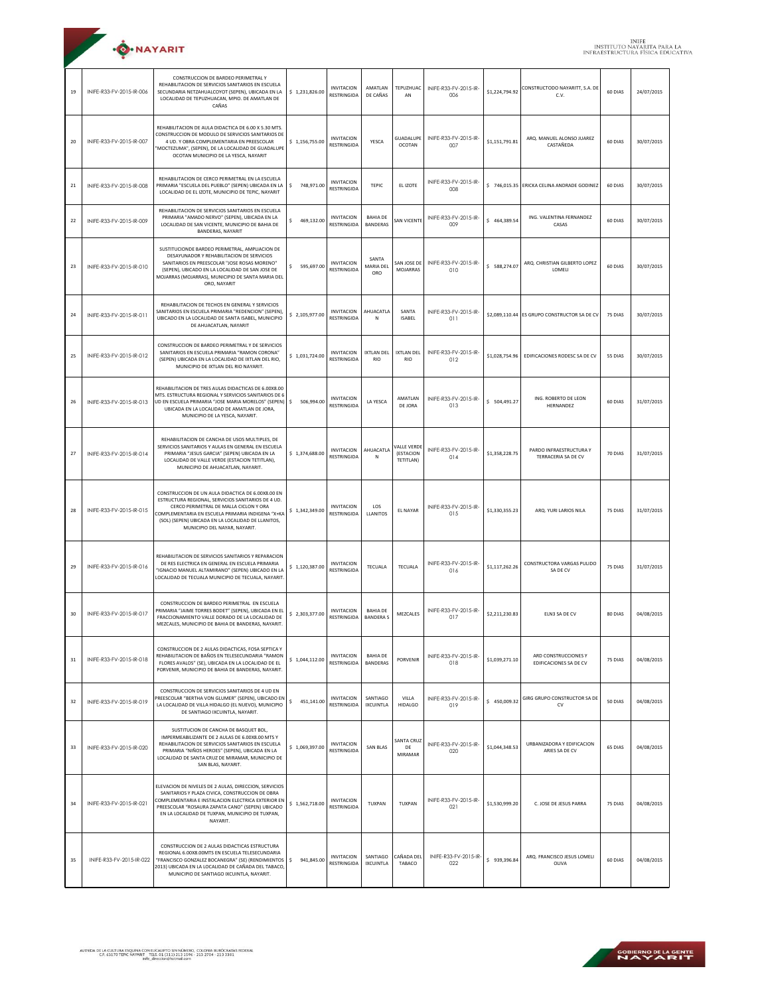|    | ·O·NAYARIT               |                                                                                                                                                                                                                                                                                               |                  |                                         |                                     |                                       |                              |                |                                                |         | <b>INIFE</b><br><b>INSTITUTO NAYARITA PARA</b><br>INFRAESTRUCTURA FÍSICA EDU |
|----|--------------------------|-----------------------------------------------------------------------------------------------------------------------------------------------------------------------------------------------------------------------------------------------------------------------------------------------|------------------|-----------------------------------------|-------------------------------------|---------------------------------------|------------------------------|----------------|------------------------------------------------|---------|------------------------------------------------------------------------------|
| 19 | INIFE-R33-FV-2015-IR-006 | CONSTRUCCION DE BARDEO PERIMETRAL Y<br>REHABILITACION DE SERVICIOS SANITARIOS EN ESCUELA<br>SECUNDARIA NETZAHUALCOYOT (SEPEN), UBICADA EN LA<br>LOCALIDAD DE TEPUZHUACAN, MPIO. DE AMATLAN DE<br>CAÑAS                                                                                        | \$1,231,826.00   | <b>INVITACION</b><br>RESTRINGIDA        | AMATLAN<br>DE CAÑAS                 | TEPUZHUAC<br>AN                       | INIFE-R33-FV-2015-IR-<br>006 | \$1,224,794.92 | CONSTRUCTODO NAYARITT, S.A. DE<br>C.V.         | 60 DIAS | 24/07/2015                                                                   |
| 20 | INIFE-R33-FV-2015-IR-007 | REHABILITACION DE AULA DIDACTICA DE 6.00 X 5.30 MTS.<br>CONSTRUCCION DE MODULO DE SERVICIOS SANITARIOS DE<br>4 UD. Y OBRA COMPLEMENTARIA EN PREESCOLAR<br>"MOCTEZUMA", (SEPEN), DE LA LOCALIDAD DE GUADALUPE<br>OCOTAN MUNICIPIO DE LA YESCA, NAYARIT                                         | \$1,156,755.00   | <b>INVITACION</b><br>RESTRINGIDA        | YESCA                               | <b>GUADALUPE</b><br><b>OCOTAN</b>     | INIFE-R33-FV-2015-IR-<br>007 | \$1,151,791.81 | ARO, MANUEL ALONSO JUAREZ<br>CASTAÑEDA         | 60 DIAS | 30/07/2015                                                                   |
| 21 | INIFE-R33-FV-2015-IR-008 | REHABILITACION DE CERCO PERIMETRAL EN LA ESCUELA<br>PRIMARIA "ESCUELA DEL PUEBLO" (SEPEN) UBICADA EN LA<br>LOCALIDAD DE EL IZOTE, MUNICIPIO DE TEPIC, NAYARIT                                                                                                                                 | \$<br>748.971.00 | <b>INVITACION</b><br>RESTRINGIDA        | <b>TEPIC</b>                        | EL IZOTE                              | INIFE-R33-FV-2015-IR-<br>008 | \$746,015.35   | ERICKA CELINA ANDRADE GODINEZ                  | 60 DIAS | 30/07/2015                                                                   |
| 22 | INIFE-R33-FV-2015-IR-009 | REHABILITACION DE SERVICIOS SANITARIOS EN ESCUELA<br>PRIMARIA "AMADO NERVO" (SEPEN), UBICADA EN LA<br>LOCALIDAD DE SAN VICENTE, MUNICIPIO DE BAHIA DE<br>BANDERAS, NAYARIT                                                                                                                    | \$<br>469.132.00 | <b>INVITACION</b><br><b>RESTRINGIDA</b> | <b>BAHIA DE</b><br><b>BANDERAS</b>  | SAN VICENTE                           | INIFE-R33-FV-2015-IR-<br>009 | \$464,389.54   | ING. VALENTINA FERNANDEZ<br>CASAS              | 60 DIAS | 30/07/2015                                                                   |
| 23 | INIFE-R33-FV-2015-IR-010 | SUSTITUCIONDE BARDEO PERIMETRAL, AMPLIACION DE<br>DESAYUNADOR Y REHABILITACION DE SERVICIOS<br>SANITARIOS EN PREESCOLAR "JOSE ROSAS MORENO"<br>(SEPEN), UBICADO EN LA LOCALIDAD DE SAN JOSE DE<br>MOJARRAS (MOJARRAS), MUNICIPIO DE SANTA MARIA DEL<br>ORO, NAYARIT                           | s.<br>595.697.00 | <b>INVITACION</b><br>RESTRINGIDA        | SANTA<br>MARIA DEL<br>ORO           | SAN JOSE DE<br>MOJARRAS               | INIFE-R33-FV-2015-IR-<br>010 | \$588,274.07   | ARQ. CHRISTIAN GILBERTO LOPEZ<br>LOMELI        | 60 DIAS | 30/07/2015                                                                   |
| 24 | INIFE-R33-FV-2015-IR-011 | REHABILITACION DE TECHOS EN GENERAL Y SERVICIOS<br>SANITARIOS EN ESCUELA PRIMARIA "REDENCION" (SEPEN),<br>UBICADO EN LA LOCALIDAD DE SANTA ISABEL, MUNICIPIO<br>DE AHUACATLAN, NAYARIT                                                                                                        | \$2,105,977.00   | <b>INVITACION</b><br>RESTRINGIDA        | AHUACATLA<br>N                      | SANTA<br><b>ISABEL</b>                | INIFE-R33-FV-2015-IR-<br>011 | \$2.089.110.44 | ES GRUPO CONSTRUCTOR SA DE CV                  | 75 DIAS | 30/07/2015                                                                   |
| 25 | INIFE-R33-FV-2015-IR-012 | CONSTRUCCION DE BARDEO PERIMETRAL Y DE SERVICIOS<br>SANITARIOS EN ESCUELA PRIMARIA "RAMON CORONA"<br>(SEPEN) UBICADA EN LA LOCALIDAD DE IXTLAN DEL RIO,<br>MUNICIPIO DE IXTLAN DEL RIO NAYARIT.                                                                                               | \$1,031,724.00   | <b>INVITACION</b><br>RESTRINGIDA        | IXTLAN DEL<br><b>RIO</b>            | <b>IXTLAN DEL</b><br><b>RIO</b>       | INIFE-R33-FV-2015-IR-<br>012 | \$1,028,754.96 | EDIFICACIONES RODESC SA DE CV                  | 55 DIAS | 30/07/2015                                                                   |
| 26 | INIFE-R33-FV-2015-IR-013 | REHABILITACION DE TRES AULAS DIDACTICAS DE 6.00X8.00<br>MTS. ESTRUCTURA REGIONAL Y SERVICIOS SANITARIOS DE 6<br>UD EN ESCUELA PRIMARIA "JOSE MARIA MORELOS" (SEPEN) \$<br>UBICADA EN LA LOCALIDAD DE AMATLAN DE JORA,<br>MUNICIPIO DE LA YESCA, NAYARIT.                                      | 506,994.00       | <b>INVITACION</b><br>RESTRINGIDA        | LA YESCA                            | AMATLAN<br>DE JORA                    | INIFE-R33-FV-2015-IR-<br>013 | \$504,491.27   | ING. ROBERTO DE LEON<br>HERNANDEZ              | 60 DIAS | 31/07/2015                                                                   |
| 27 | INIFE-R33-FV-2015-IR-014 | REHABILITACION DE CANCHA DE USOS MULTIPLES. DE<br>SERVICIOS SANITARIOS Y AULAS EN GENERAL EN ESCUELA<br>PRIMARIA "JESUS GARCIA" (SEPEN) UBICADA EN LA<br>LOCALIDAD DE VALLE VERDE (ESTACION TETITLAN),<br>MUNICIPIO DE AHUACATLAN, NAYARIT.                                                   | \$1,374,688.00   | <b>INVITACION</b><br>RESTRINGIDA        | AHUACATLA<br>N                      | VALLE VERDE<br>(ESTACION<br>TETITLAN) | INIFE-R33-FV-2015-IR-<br>014 | \$1,358,228.75 | PARDO INFRAESTRUCTURA Y<br>TERRACERIA SA DE CV | 70 DIAS | 31/07/2015                                                                   |
| 28 | INIFE-R33-FV-2015-IR-015 | CONSTRUCCION DE UN AULA DIDACTICA DE 6.00X8.00 EN<br>ESTRUCTURA REGIONAL, SERVICIOS SANITARIOS DE 4 UD.<br>CERCO PERIMETRAL DE MALLA CICLON Y ORA<br>COMPLEMENTARIA EN ESCUELA PRIMARIA INDIGENA "X+KA<br>(SOL) (SEPEN) UBICADA EN LA LOCALIDAD DE LLANITOS,<br>MUNICIPIO DEL NAYAR, NAYARIT. | \$1,342,349.00   | <b>INVITACION</b><br>RESTRINGIDA        | LOS<br>LLANITOS                     | EL NAYAR                              | INIFE-R33-FV-2015-IR-<br>015 | \$1,330,355.23 | ARQ. YURI LARIOS NILA                          | 75 DIAS | 31/07/2015                                                                   |
| 29 | INIFE-R33-FV-2015-IR-016 | REHABILITACION DE SERVICIOS SANITARIOS Y REPARACION<br>DE RES ELECTRICA EN GENERAL EN ESCUELA PRIMARIA<br>'IGNACIO MANUEL ALTAMIRANO" (SEPEN) UBICADO EN LA<br>LOCALIDAD DE TECUALA MUNICIPIO DE TECUALA, NAYARIT.                                                                            | \$1,120,387.00   | <b>INVITACION</b><br>RESTRINGIDA        | TECUALA                             | TECUALA                               | INIFE-R33-FV-2015-IR-<br>016 | \$1,117,262.26 | CONSTRUCTORA VARGAS PULIDO<br>SA DE CV         | 75 DIAS | 31/07/2015                                                                   |
| 30 | INIFE-R33-FV-2015-IR-017 | CONSTRUCCION DE BARDEO PERIMETRAL EN ESCUELA<br>PRIMARIA "JAIME TORRES BODET" (SEPEN), UBICADA EN EL<br>FRACCIONAMIENTO VALLE DORADO DE LA LOCALIDAD DE<br>MEZCALES. MUNICIPIO DE BAHIA DE BANDERAS. NAYARIT.                                                                                 | \$2,303,377.00   | <b>INVITACION</b><br>RESTRINGIDA        | <b>BAHIA DE</b><br><b>BANDERA S</b> | MEZCALES                              | INIFE-R33-FV-2015-IR-<br>017 | \$2,211,230.83 | ELN3 SA DE CV                                  | 80 DIAS | 04/08/2015                                                                   |
| 31 | INIFE-R33-FV-2015-IR-018 | CONSTRUCCION DE 2 AULAS DIDACTICAS, FOSA SEPTICA Y<br>REHABILITACION DE BAÑOS EN TELESECUNDARIA "RAMON<br>FLORES AVALOS" (SE), UBICADA EN LA LOCALIDAD DE EL<br>PORVENIR, MUNICIPIO DE BAHIA DE BANDERAS, NAYARIT.                                                                            | \$1,044,112.00   | <b>INVITACION</b><br>RESTRINGIDA        | <b>BAHIA DE</b><br><b>BANDERAS</b>  | PORVENIR                              | INIFE-R33-FV-2015-IR-<br>018 | \$1,039,271.10 | ARD CONSTRUCCIONES Y<br>EDIFICACIONES SA DE CV | 75 DIAS | 04/08/2015                                                                   |
| 32 | INIFE-R33-FV-2015-IR-019 | CONSTRUCCION DE SERVICIOS SANITARIOS DE 4 UD EN<br>PREESCOLAR "BERTHA VON GLUMER" (SEPEN), UBICADO EN<br>LA LOCALIDAD DE VILLA HIDALGO (EL NUEVO), MUNICIPIO<br>DE SANTIAGO IXCUINTLA, NAYARIT.                                                                                               | \$<br>451,141.00 | <b>INVITACION</b><br><b>RESTRINGIDA</b> | SANTIAGO<br><b>IXCUINTLA</b>        | VILLA<br><b>HIDALGO</b>               | INIFE-R33-FV-2015-IR-<br>019 | \$450,009.32   | GIRG GRUPO CONSTRUCTOR SA DE<br>CV             | 50 DIAS | 04/08/2015                                                                   |
| 33 | INIFE-R33-FV-2015-IR-020 | SUSTITUCION DE CANCHA DE BASQUET BOL,<br>IMPERMEABILIZANTE DE 2 AULAS DE 6.00X8.00 MTS Y<br>REHABILITACION DE SERVICIOS SANITARIOS EN ESCUELA<br>PRIMARIA "NIÑOS HEROES" (SEPEN), UBICADA EN LA<br>LOCALIDAD DE SANTA CRUZ DE MIRAMAR, MUNICIPIO DE<br>SAN BLAS, NAYARIT.                     | \$1,069,397.00   | <b>INVITACION</b><br>RESTRINGIDA        | SAN BLAS                            | SANTA CRUZ<br>DE<br>MIRAMAR           | INIFE-R33-FV-2015-IR-<br>020 | \$1,044,348.53 | URBANIZADORA Y EDIFICACION<br>ARIES SA DE CV   | 65 DIAS | 04/08/2015                                                                   |
| 34 | INIFE-R33-FV-2015-IR-021 | ELEVACION DE NIVELES DE 2 AULAS, DIRECCION, SERVICIOS<br>SANITARIOS Y PLAZA CIVICA, CONSTRUCCION DE OBRA<br>COMPLEMENTARIA E INSTALACION ELECTRICA EXTERIOR EN<br>PREESCOLAR "ROSAURA ZAPATA CANO" (SEPEN) UBICADO<br>EN LA LOCALIDAD DE TUXPAN, MUNICIPIO DE TUXPAN,<br>NAYARIT.             | \$1,562,718.00   | <b>INVITACION</b><br>RESTRINGIDA        | TUXPAN                              | <b>TUXPAN</b>                         | INIFE-R33-FV-2015-IR-<br>021 | \$1,530,999.20 | C. JOSE DE JESUS PARRA                         | 75 DIAS | 04/08/2015                                                                   |
| 35 | INIFE-R33-FV-2015-IR-022 | CONSTRUCCION DE 2 AULAS DIDACTICAS ESTRUCTURA<br>REGIONAL 6.00X8.00MTS EN ESCUELA TELESECUNDARIA<br>"FRANCISCO GONZALEZ BOCANEGRA" (SE) (RENDIMIENTOS<br>2013) UBICADA EN LA LOCALIDAD DE CAÑADA DEL TABACO,<br>MUNICIPIO DE SANTIAGO IXCUINTLA, NAYARIT.                                     | I۶<br>941,845.00 | <b>INVITACION</b><br>RESTRINGIDA        | SANTIAGO<br><b>IXCUINTLA</b>        | CAÑADA DEL<br>TABACO                  | INIFE-R33-FV-2015-IR-<br>022 | \$939,396.84   | ARQ. FRANCISCO JESUS LOMELI<br>OLIVA           | 60 DIAS | 04/08/2015                                                                   |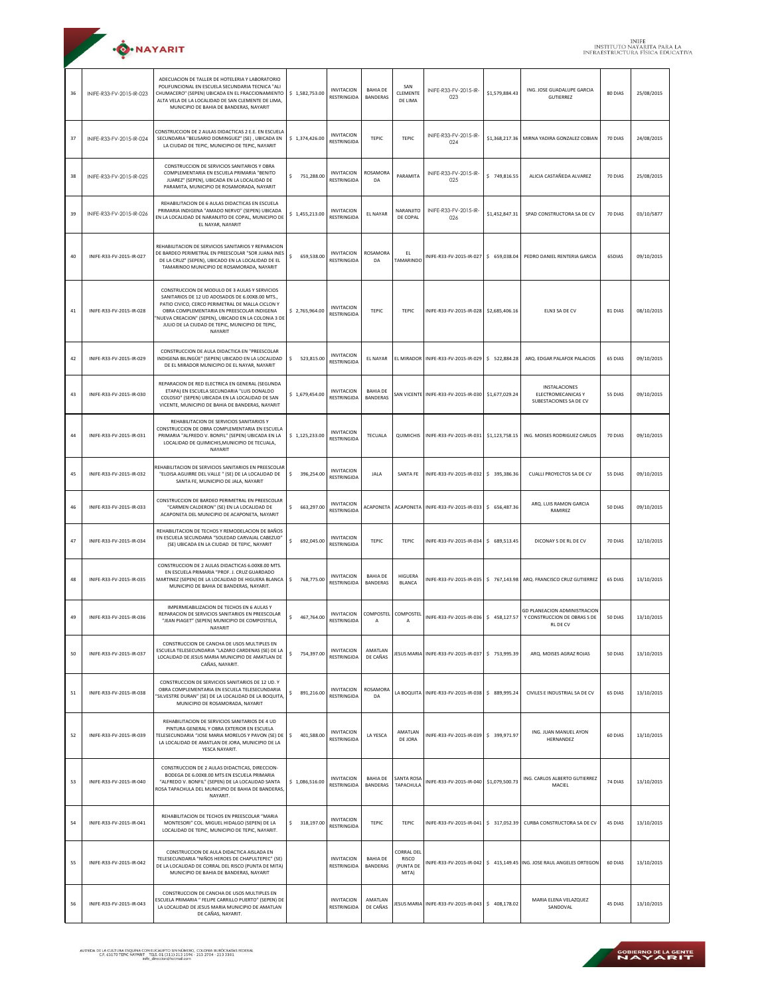| <b>O</b> .NAYARIT |
|-------------------|
|                   |

| 36 | INIFE-R33-FV-2015-IR-023 | ADECUACION DE TALLER DE HOTELERIA Y LABORATORIO<br>POLIFUNCIONAL EN ESCUELA SECUNDARIA TECNICA "ALI<br>CHUMACERO" (SEPEN) UBICADA EN EL FRACCIONAMIENTO<br>ALTA VELA DE LA LOCALIDAD DE SAN CLEMENTE DE LIMA,<br>MUNICIPIO DE BAHIA DE BANDERAS, NAYARIT                                                                  | \$1,582,753.00            | <b>INVITACION</b><br>RESTRINGIDA        | <b>BAHIA DE</b><br><b>BANDERAS</b> | SAN<br>CLEMENTE<br>DE LIMA                       | INIFE-R33-FV-2015-IR-<br>023                          | \$1,579,884.43 | ING. JOSE GUADALUPE GARCIA<br><b>GUTIERREZ</b>                                | 80 DIAS | 25/08/2015 |
|----|--------------------------|---------------------------------------------------------------------------------------------------------------------------------------------------------------------------------------------------------------------------------------------------------------------------------------------------------------------------|---------------------------|-----------------------------------------|------------------------------------|--------------------------------------------------|-------------------------------------------------------|----------------|-------------------------------------------------------------------------------|---------|------------|
| 37 | INIFE-R33-FV-2015-IR-024 | CONSTRUCCION DE 2 AULAS DIDACTICAS 2 E.E. EN ESCUELA<br>SECUNDARIA "BELISARIO DOMINGUEZ" (SE), UBICADA EN<br>LA CIUDAD DE TEPIC, MUNICIPIO DE TEPIC, NAYARIT                                                                                                                                                              | \$1,374,426.00            | <b>INVITACION</b><br><b>RESTRINGIDA</b> | TEPIC                              | TEPIC                                            | INIFE-R33-FV-2015-IR-<br>024                          |                | \$1,368,217.36 MIRNA YADIRA GONZALEZ COBIAN                                   | 70 DIAS | 24/08/2015 |
| 38 | INIFE-R33-FV-2015-IR-025 | CONSTRUCCION DE SERVICIOS SANITARIOS Y OBRA<br>COMPLEMENTARIA EN ESCUELA PRIMARIA "BENITO<br>JUAREZ" (SEPEN), UBICADA EN LA LOCALIDAD DE<br>PARAMITA, MUNICIPIO DE ROSAMORADA, NAYARIT                                                                                                                                    | 751,288.00<br>\$          | <b>INVITACION</b><br>RESTRINGIDA        | ROSAMORA<br>DA                     | PARAMITA                                         | INIFE-R33-FV-2015-IR-<br>025                          | \$749,816.55   | ALICIA CASTAÑEDA ALVAREZ                                                      | 70 DIAS | 25/08/2015 |
| 39 | INIFE-R33-FV-2015-IR-026 | REHABILITACION DE 6 AULAS DIDACTICAS EN ESCUELA<br>PRIMARIA INDIGENA "AMADO NERVO" (SEPEN) UBICADA<br>EN LA LOCALIDAD DE NARANJITO DE COPAL, MUNICIPIO DE<br>EL NAYAR, NAYARIT                                                                                                                                            | \$1,455,213.00            | <b>INVITACION</b><br>RESTRINGIDA        | EL NAYAR                           | NARANJITO<br>DE COPAL                            | INIFE-R33-FV-2015-IR-<br>026                          | \$1,452,847.31 | SPAD CONSTRUCTORA SA DE CV                                                    | 70 DIAS | 03/10/5877 |
| 40 | INIFE-R33-FV-2015-IR-027 | REHABILITACION DE SERVICIOS SANITARIOS Y REPARACION<br>DE BARDEO PERIMETRAL EN PREESCOLAR "SOR JUANA INES<br>DE LA CRUZ" (SEPEN), UBICADO EN LA LOCALIDAD DE EL<br>TAMARINDO MUNICIPIO DE ROSAMORADA, NAYARIT                                                                                                             | \$<br>659,538.00          | <b>INVITACION</b><br>RESTRINGIDA        | ROSAMORA<br>DA                     | FL.<br>TAMARINDO                                 | INIFE-R33-FV-2015-IR-027                              | \$ 659,038.04  | PEDRO DANIEL RENTERIA GARCIA                                                  | 65DIAS  | 09/10/2015 |
| 41 | INIFE-R33-FV-2015-IR-028 | CONSTRUCCION DE MODULO DE 3 AULAS Y SERVICIOS<br>SANITARIOS DE 12 UD ADOSADOS DE 6.00X8.00 MTS.,<br>PATIO CIVICO, CERCO PERIMETRAL DE MALLA CICLON Y<br>OBRA COMPLEMENTARIA EN PREESCOLAR INDIGENA<br>'NUEVA CREACION" (SEPEN), UBICADO EN LA COLONIA 3 DE<br>JULIO DE LA CIUDAD DE TEPIC, MUNICIPIO DE TEPIC,<br>NAYARIT | \$2,765,964.00            | <b>INVITACION</b><br>RESTRINGIDA        | <b>TEPIC</b>                       | TEPIC                                            | INIFE-R33-FV-2015-IR-028 \$2,685,406.16               |                | ELN3 SA DE CV                                                                 | 81 DIAS | 08/10/2015 |
| 42 | INIFE-R33-FV-2015-IR-029 | CONSTRUCCION DE AULA DIDACTICA EN "PREESCOLAR<br>INDIGENA BILINGÜE" (SEPEN) UBICADO EN LA LOCALIDAD<br>DE EL MIRADOR MUNICIPIO DE EL NAYAR, NAYARIT                                                                                                                                                                       | $\mathsf S$<br>523,815.00 | <b>INVITACION</b><br><b>RESTRINGIDA</b> | <b>EL NAYAR</b>                    |                                                  | EL MIRADOR INIFE-R33-FV-2015-IR-029   \$ 522.884.28   |                | ARQ. EDGAR PALAFOX PALACIOS                                                   | 65 DIAS | 09/10/2015 |
| 43 | INIFE-R33-FV-2015-IR-030 | REPARACION DE RED ELECTRICA EN GENERAL (SEGUNDA<br>ETAPA) EN ESCUELA SECUNDARIA "LUIS DONALDO<br>COLOSIO" (SEPEN) UBICADA EN LA LOCALIDAD DE SAN<br>VICENTE, MUNICIPIO DE BAHIA DE BANDERAS, NAYARIT                                                                                                                      | \$1,679,454.00            | <b>INVITACION</b><br>RESTRINGIDA        | <b>BAHIA DE</b><br><b>BANDERAS</b> |                                                  | SAN VICENTE   INIFE-R33-FV-2015-IR-030                | \$1,677,029.24 | INSTALACIONES<br>ELECTROMECANICAS Y<br>SUBESTACIONES SA DE CV                 | 55 DIAS | 09/10/2015 |
| 44 | INIFE-R33-FV-2015-IR-031 | REHABILITACION DE SERVICIOS SANITARIOS Y<br>CONSTRUCCION DE OBRA COMPLEMENTARIA EN ESCUELA<br>PRIMARIA "ALFREDO V. BONFIL" (SEPEN) UBICADA EN LA<br>LOCALIDAD DE QUIMICHIS, MUNICIPIO DE TECUALA,<br>NAYARIT                                                                                                              | \$1,125,233.00            | <b>INVITACION</b><br>RESTRINGIDA        | TECUALA                            |                                                  | QUIMICHIS   INIFE-R33-FV-2015-IR-031                  | \$1,123,758.15 | ING. MOISES RODRIGUEZ CARLOS                                                  | 70 DIAS | 09/10/2015 |
| 45 | INIFE-R33-FV-2015-IR-032 | REHABILITACION DE SERVICIOS SANITARIOS EN PREESCOLAR<br>"ELOISA AGUIRRE DEL VALLE " (SE) DE LA LOCALIDAD DE<br>SANTA FE, MUNICIPIO DE JALA, NAYARIT                                                                                                                                                                       | \$<br>396,254.00          | <b>INVITACION</b><br>RESTRINGIDA        | JALA                               | SANTA FE                                         | INIFE-R33-FV-2015-IR-032 \$ 395,386.36                |                | CUALLI PROYECTOS SA DE CV                                                     | 55 DIAS | 09/10/2015 |
| 46 | INIFE-R33-FV-2015-IR-033 | CONSTRUCCION DE BARDEO PERIMETRAL EN PREESCOLAR<br>"CARMEN CALDERON" (SE) EN LA LOCALIDAD DE<br>ACAPONETA DEL MUNICIPIO DE ACAPONETA, NAYARIT                                                                                                                                                                             | \$.<br>663,297.00         | <b>INVITACION</b><br>RESTRINGIDA        | ACAPONETA                          |                                                  | ACAPONETA INIFE-R33-FV-2015-IR-033                    | \$656,487.36   | ARQ. LUIS RAMON GARCIA<br>RAMIREZ                                             | 50 DIAS | 09/10/2015 |
| 47 | INIFE-R33-FV-2015-IR-034 | REHABILITACION DE TECHOS Y REMODELACION DE BAÑOS<br>EN ESCUELA SECUNDARIA "SOLEDAD CARVAJAL CABEZUD"<br>(SE) UBICADA EN LA CIUDAD DE TEPIC, NAYARIT                                                                                                                                                                       | \$<br>692,045.00          | <b>INVITACION</b><br><b>RESTRINGIDA</b> | <b>TEPIC</b>                       | TEPIC                                            | INIFE-R33-FV-2015-IR-034                              | \$ 689,513.45  | DICONAY S DE RL DE CV                                                         | 70 DIAS | 12/10/2015 |
| 48 | INIFE-R33-FV-2015-IR-035 | CONSTRUCCION DE 2 AULAS DIDACTICAS 6.00X8.00 MTS.<br>EN ESCUELA PRIMARIA "PROF. J. CRUZ GUARDADO<br>MARTINEZ (SEPEN) DE LA LOCALIDAD DE HIGUERA BLANCA<br>MUNICIPIO DE BAHIA DE BANDERAS, NAYARIT.                                                                                                                        | \$<br>768,775.00          | <b>INVITACION</b><br>RESTRINGIDA        | <b>BAHIA DE</b><br>BANDERAS        | HIGUERA<br><b>BLANCA</b>                         |                                                       |                | NIFE-R33-FV-2015-IR-035   \$ 767,143.98 ARQ. FRANCISCO CRUZ GUTIERREZ         | 65 DIAS | 13/10/2015 |
| 49 | INIFE-R33-FV-2015-IR-036 | IMPERMEABILIZACION DE TECHOS EN 6 AULAS Y<br>REPARACION DE SERVICIOS SANITARIOS EN PREESCOLAR<br>"JEAN PIAGET" (SEPEN) MUNICIPIO DE COMPOSTELA,<br>NAYARIT                                                                                                                                                                | 467,764.00<br>\$          | <b>INVITACION</b><br>RESTRINGIDA        | COMPOSTEL COMPOSTEL<br>A           | Α                                                | NIFE-R33-FV-2015-IR-036 \$458,127.57                  |                | GD PLANEACION ADMINISTRACION<br>Y CONSTRUCCION DE OBRAS S DE<br><b>RLDECV</b> | 50 DIAS | 13/10/2015 |
| 50 | INIFE-R33-FV-2015-IR-037 | CONSTRUCCION DE CANCHA DE USOS MULTIPLES EN<br>ESCUELA TELESECUNDARIA "LAZARO CARDENAS (SE) DE LA<br>LOCALIDAD DE JESUS MARIA MUNICIPIO DE AMATLAN DE<br>CAÑAS, NAYARIT.                                                                                                                                                  | \$<br>754,397.00          | <b>INVITACION</b><br>RESTRINGIDA        | AMATLAN<br>DE CAÑAS                |                                                  | IFSUS MARIA INIFF-R33-FV-2015-IR-037                  | \$753,995.39   | ARQ, MOISES AGRAZ ROJAS                                                       | 50 DIAS | 13/10/2015 |
| 51 | INIFE-R33-FV-2015-IR-038 | CONSTRUCCION DE SERVICIOS SANITARIOS DE 12 UD. Y<br>OBRA COMPLEMENTARIA EN ESCUELA TELESECUNDARIA<br>'SILVESTRE DURAN" (SE) DE LA LOCALIDAD DE LA BOQUITA,<br>MUNICIPIO DE ROSAMORADA, NAYARIT                                                                                                                            | \$<br>891,216.00          | <b>INVITACION</b><br>RESTRINGIDA        | ROSAMORA<br>DA                     |                                                  | LA BOQUITA   INIFE-R33-FV-2015-IR-038   \$ 889,995.24 |                | CIVILES E INDUSTRIAL SA DE CV                                                 | 65 DIAS | 13/10/2015 |
| 52 | INIFE-R33-FV-2015-IR-039 | REHABILITACION DE SERVICIOS SANITARIOS DE 4 UD<br>PINTURA GENERAL Y OBRA EXTERIOR EN ESCUELA<br>TELESECUNDARIA "JOSE MARIA MORELOS Y PAVON (SE) DE<br>LA LOCALIDAD DE AMATLAN DE JORA, MUNICIPIO DE LA<br>YESCA NAYARIT.                                                                                                  | \$<br>401,588.00          | <b>INVITACION</b><br><b>RESTRINGIDA</b> | LA YESCA                           | AMATLAN<br>DE JORA                               | INIFE-R33-FV-2015-IR-039 \$ 399,971.97                |                | ING. JUAN MANUEL AYON<br><b>HFRNANDEZ</b>                                     | 60 DIAS | 13/10/2015 |
| 53 | INIFE-R33-FV-2015-IR-040 | CONSTRUCCION DE 2 AULAS DIDACTICAS, DIRECCION-<br>BODEGA DE 6.00X8.00 MTS EN ESCUELA PRIMARIA<br>"ALFREDO V. BONFIL" (SEPEN) DE LA LOCALIDAD SANTA<br>ROSA TAPACHULA DEL MUNICIPIO DE BAHIA DE BANDERAS,<br>NAYARIT.                                                                                                      | \$1,086,516.00            | <b>INVITACION</b><br>RESTRINGIDA        | <b>BAHIA DE</b><br><b>BANDERAS</b> | SANTA ROSA<br>TAPACHULA                          | INIFE-R33-FV-2015-IR-040 \$1,079,500.73               |                | ING. CARLOS ALBERTO GUTIERREZ<br>MACIEL                                       | 74 DIAS | 13/10/2015 |
| 54 | INIFE-R33-FV-2015-IR-041 | REHABILITACION DE TECHOS EN PREESCOLAR "MARIA<br>MONTESORI" COL. MIGUEL HIDALGO (SEPEN) DE LA<br>LOCALIDAD DE TEPIC, MUNICIPIO DE TEPIC, NAYARIT.                                                                                                                                                                         | \$318,197.00              | <b>INVITACION</b><br>RESTRINGIDA        | TEPIC                              | TEPIC                                            | INIFE-R33-FV-2015-IR-041                              | \$317,052.39   | CURBA CONSTRUCTORA SA DE CV                                                   | 45 DIAS | 13/10/2015 |
| 55 | INIFE-R33-FV-2015-IR-042 | CONSTRUCCION DE AULA DIDACTICA AISLADA EN<br>TELESECUNDARIA "NIÑOS HEROES DE CHAPULTEPEC" (SE)<br>DE LA LOCALIDAD DE CORRAL DEL RISCO (PUNTA DE MITA)<br>MUNICIPIO DE BAHIA DE BANDERAS, NAYARIT                                                                                                                          |                           | <b>INVITACION</b><br>RESTRINGIDA        | <b>BAHIA DE</b><br><b>BANDERAS</b> | <b>CORRAL DEL</b><br>RISCO<br>(PUNTA DE<br>MITA) | INIFE-R33-FV-2015-IR-042                              |                | \$415,149.45 ING. JOSE RAUL ANGELES ORTEGON                                   | 60 DIAS | 13/10/2015 |
| 56 | INIFE-R33-FV-2015-IR-043 | CONSTRUCCION DE CANCHA DE USOS MULTIPLES EN<br>ESCUELA PRIMARIA " FELIPE CARRILLO PUERTO" (SEPEN) DE<br>LA LOCALIDAD DE JESUS MARIA MUNICIPIO DE AMATLAN<br>DE CAÑAS, NAYARIT.                                                                                                                                            |                           | <b>INVITACION</b><br><b>RESTRINGIDA</b> | AMATLAN<br>DE CAÑAS                |                                                  | JESUS MARIA INIFE-R33-FV-2015-IR-043 \$408,178.02     |                | MARIA ELENA VELAZQUEZ<br>SANDOVAL                                             | 45 DIAS | 13/10/2015 |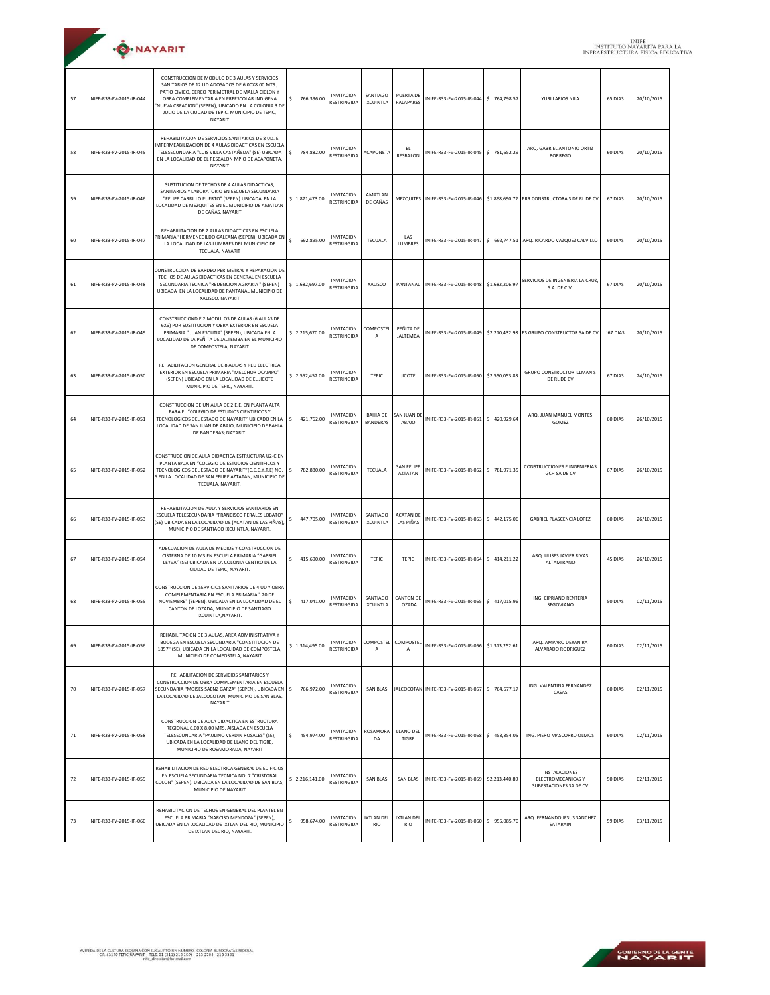| <b>.O.</b> NAYARIT |
|--------------------|
|                    |

| 57 | INIFE-R33-FV-2015-IR-044 | CONSTRUCCION DE MODULO DE 3 AULAS Y SERVICIOS<br>SANITARIOS DE 12 UD ADOSADOS DE 6.00X8.00 MTS.,<br>PATIO CIVICO, CERCO PERIMETRAL DE MALLA CICLON Y<br>OBRA COMPLEMENTARIA EN PREESCOLAR INDIGENA<br>NUEVA CREACION" (SEPEN), UBICADO EN LA COLONIA 3 DE<br>JULIO DE LA CIUDAD DE TEPIC, MUNICIPIO DE TEPIC,<br>NAYARIT | \$<br>766,396.00 | <b>INVITACION</b><br><b>RESTRINGIDA</b> | SANTIAGO<br><b>IXCUINTLA</b>       | <b>PUERTA DE</b><br>PALAPARES       | INIFE-R33-FV-2015-IR-044              | \$764,798.57   | YURI LARIOS NILA                                                                       | 65 DIAS  | 20/10/2015 |
|----|--------------------------|--------------------------------------------------------------------------------------------------------------------------------------------------------------------------------------------------------------------------------------------------------------------------------------------------------------------------|------------------|-----------------------------------------|------------------------------------|-------------------------------------|---------------------------------------|----------------|----------------------------------------------------------------------------------------|----------|------------|
| 58 | INIFE-R33-FV-2015-IR-045 | REHABILITACION DE SERVICIOS SANITARIOS DE 8 UD. E<br><b>IMPERMEABILIZACION DE 4 AULAS DIDACTICAS EN ESCUELA</b><br>TELESECUNDARIA "LUIS VILLA CASTAÑEDA" (SE) UBICADA<br>EN LA LOCALIDAD DE EL RESBALON MPIO DE ACAPONETA,<br>NAYARIT                                                                                    | \$<br>784,882.00 | <b>INVITACION</b><br>RESTRINGIDA        | ACAPONETA                          | EL<br><b>RESBALON</b>               | INIFE-R33-FV-2015-IR-045 \$781,652.29 |                | ARQ. GABRIEL ANTONIO ORTIZ<br><b>BORREGO</b>                                           | 60 DIAS  | 20/10/2015 |
| 59 | INIFE-R33-FV-2015-IR-046 | SUSTITUCION DE TECHOS DE 4 AULAS DIDACTICAS,<br>SANITARIOS Y LABORATORIO EN ESCUELA SECUNDARIA<br>"FELIPE CARRILLO PUERTO" (SEPEN) UBICADA EN LA<br>LOCALIDAD DE MEZQUITES EN EL MUNICIPIO DE AMATLAN<br>DE CAÑAS, NAYARIT                                                                                               | \$1,871,473.00   | <b>INVITACION</b><br>RESTRINGIDA        | AMATLAN<br>DE CAÑAS                |                                     |                                       |                | MEZQUITES   INIFE-R33-FV-2015-IR-046   \$1,868,690.72   PRR CONSTRUCTORA S DE RL DE CV | 67 DIAS  | 20/10/2015 |
| 60 | INIFE-R33-FV-2015-IR-047 | REHABILITACION DE 2 AULAS DIDACTICAS EN ESCUELA<br>RIMARIA "HERMENEGILDO GALEANA (SEPEN), UBICADA EN<br>LA LOCALIDAD DE LAS LUMBRES DEL MUNICIPIO DE<br>TECUALA, NAYARIT                                                                                                                                                 | \$<br>692,895.00 | <b>INVITACION</b><br><b>RESTRINGIDA</b> | TECUALA                            | LAS<br><b>LUMBRES</b>               | INIFE-R33-FV-2015-IR-047              |                | \$692,747.51 ARQ. RICARDO VAZQUEZ CALVILLO                                             | 60 DIAS  | 20/10/2015 |
| 61 | INIFE-R33-FV-2015-IR-048 | CONSTRUCCION DE BARDEO PERIMETRAL Y REPARACION DE<br>TECHOS DE AULAS DIDACTICAS EN GENERAL EN ESCUELA<br>SECUNDARIA TECNICA "REDENCION AGRARIA " (SEPEN)<br>UBICADA EN LA LOCALIDAD DE PANTANAL MUNICIPIO DE<br>XALISCO, NAYARIT                                                                                         | \$1,682,697.00   | <b>INVITACION</b><br>RESTRINGIDA        | XALISCO                            | PANTANAL                            | INIFE-R33-FV-2015-IR-048              | \$1,682,206.97 | SERVICIOS DE INGENIERIA LA CRUZ,<br>S.A. DE C.V.                                       | 67 DIAS  | 20/10/2015 |
| 62 | INIFE-R33-FV-2015-IR-049 | CONSTRUCCIOND E 2 MODULOS DE AULAS (6 AULAS DE<br>6X6) POR SUSTITUCION Y OBRA EXTERIOR EN ESCUELA<br>PRIMARIA " JUAN ESCUTIA" (SEPEN), UBICADA ENLA<br>LOCALIDAD DE LA PEÑITA DE JALTEMBA EN EL MUNICIPIO<br>DE COMPOSTELA, NAYARIT                                                                                      | \$2,215,670.00   | <b>INVITACION</b><br>RESTRINGIDA        | <b>COMPOSTEL</b><br>Α              | PEÑITA DE<br><b>JALTEMBA</b>        | NIFE-R33-FV-2015-IR-049               |                | \$2,210,432.98 ES GRUPO CONSTRUCTOR SA DE CV                                           | '67 DIAS | 20/10/2015 |
| 63 | INIFE-R33-FV-2015-IR-050 | REHABILITACION GENERAL DE 8 AULAS Y RED ELECTRICA<br>EXTERIOR EN ESCUELA PRIMARIA "MELCHOR OCAMPO"<br>(SEPEN) UBICADO EN LA LOCALIDAD DE EL JICOTE<br>MUNICIPIO DE TEPIC, NAYARIT.                                                                                                                                       | \$2,552,452.00   | <b>INVITACION</b><br>RESTRINGIDA        | <b>TEPIC</b>                       | <b>JICOTE</b>                       | INIFE-R33-FV-2015-IR-050              | \$2,550,053.83 | <b>GRUPO CONSTRUCTOR ILLMAN S</b><br>DE RL DE CV                                       | 67 DIAS  | 24/10/2015 |
| 64 | INIFE-R33-FV-2015-IR-051 | CONSTRUCCION DE UN AULA DE 2 E.E. EN PLANTA ALTA<br>PARA EL "COLEGIO DE ESTUDIOS CIENTIFICOS Y<br>TECNOLOGICOS DEL ESTADO DE NAYARIT" UBICADO EN LA<br>LOCALIDAD DE SAN JUAN DE ABAJO, MUNICIPIO DE BAHIA<br>DE BANDERAS; NAYARIT.                                                                                       | \$ 421,762.00    | <b>INVITACION</b><br>RESTRINGIDA        | <b>BAHIA DE</b><br><b>BANDERAS</b> | SAN JUAN D<br>ABAJO                 | INIFE-R33-FV-2015-IR-051              | \$420,929.64   | ARQ. JUAN MANUEL MONTES<br>GOMEZ                                                       | 60 DIAS  | 26/10/2015 |
| 65 | INIFE-R33-FV-2015-IR-052 | CONSTRUCCION DE AULA DIDACTICA ESTRUCTURA U2-C EN<br>PLANTA BAJA EN "COLEGIO DE ESTUDIOS CIENTIFICOS Y<br>TECNOLOGICOS DEL ESTADO DE NAYARIT"(C.E.C.Y.T.E) NO.<br>6 EN LA LOCALIDAD DE SAN FELIPE AZTATAN, MUNICIPIO DE<br>TECUALA, NAYARIT.                                                                             | \$<br>782,880.00 | <b>INVITACION</b><br>RESTRINGIDA        | TECUALA                            | <b>SAN FELIPE</b><br><b>AZTATAN</b> | NIFE-R33-FV-2015-IR-052 \$781,971.35  |                | <b>CONSTRUCCIONES E INGENIERIAS</b><br><b>GCH SA DE CV</b>                             | 67 DIAS  | 26/10/2015 |
| 66 | INIFE-R33-FV-2015-IR-053 | REHABILITACION DE AULA Y SERVICIOS SANITARIOS EN<br>ESCUELA TELESECUNDARIA "FRANCISCO PERALES LOBATO"<br>(SE) UBICADA EN LA LOCALIDAD DE (ACATAN DE LAS PIÑAS),<br>MUNICIPIO DE SANTIAGO IXCUINTLA, NAYARIT.                                                                                                             | \$<br>447,705.00 | <b>INVITACION</b><br>RESTRINGIDA        | SANTIAGO<br><b>IXCUINTLA</b>       | <b>ACATAN DE</b><br>LAS PIÑAS       | INIFE-R33-FV-2015-IR-053              | \$442,175.06   | <b>GABRIEL PLASCENCIA LOPEZ</b>                                                        | 60 DIAS  | 26/10/2015 |
| 67 | INIFE-R33-FV-2015-IR-054 | ADECUACION DE AULA DE MEDIOS Y CONSTRUCCION DE<br>CISTERNA DE 10 M3 EN ESCUELA PRIMARIA "GABRIEL<br>LEYVA" (SE) UBICADA EN LA COLONIA CENTRO DE LA<br>CIUDAD DE TEPIC, NAYARIT.                                                                                                                                          | \$<br>415,690.00 | <b>INVITACION</b><br>RESTRINGIDA        | <b>TEPIC</b>                       | TEPIC                               | INIFE-R33-FV-2015-IR-054              | $5$ 414.211.22 | ARQ. ULISES JAVIER RIVAS<br>ALTAMIRANO                                                 | 45 DIAS  | 26/10/2015 |
| 68 | INIFE-R33-FV-2015-IR-055 | CONSTRUCCION DE SERVICIOS SANITARIOS DE 4 UD Y OBRA<br>COMPLEMENTARIA EN ESCUELA PRIMARIA " 20 DE<br>NOVIEMBRE" (SEPEN), UBICADA EN LA LOCALIDAD DE EL<br>CANTON DE LOZADA, MUNICIPIO DE SANTIAGO<br>IXCUINTLA, NAYARIT.                                                                                                 | \$417,041.00     | <b>INVITACION</b><br>RESTRINGIDA        | SANTIAGO<br><b>IXCUINTLA</b>       | <b>CANTON DE</b><br>LOZADA          | INIFE-R33-FV-2015-IR-055              | \$417,015.96   | ING. CIPRIANO RENTERIA<br>SEGOVIANO                                                    | 50 DIAS  | 02/11/2015 |
| 69 | INIFE-R33-FV-2015-IR-056 | REHABILITACION DE 3 AULAS, AREA ADMINISTRATIVA Y<br>BODEGA EN ESCUELA SECUNDARIA "CONSTITUCION DE<br>1857" (SE), UBICADA EN LA LOCALIDAD DE COMPOSTELA,<br>MUNICIPIO DE COMPOSTELA, NAYARIT                                                                                                                              | \$1,314,495.00   | <b>INVITACION</b><br>RESTRINGIDA        | COMPOSTEL<br>Α                     | COMPOSTEL<br>А                      | INIFE-R33-FV-2015-IR-056              | \$1,313,252.61 | ARQ. AMPARO DEYANIRA<br>ALVARADO RODRIGUEZ                                             | 60 DIAS  | 02/11/2015 |
| 70 | INIFE-R33-FV-2015-IR-057 | REHABILITACION DE SERVICIOS SANITARIOS Y<br>CONSTRUCCION DE OBRA COMPLEMENTARIA EN ESCUELA<br>SECUNDARIA "MOISES SAENZ GARZA" (SEPEN), UBICADA EN<br>LA LOCALIDAD DE JALCOCOTAN, MUNICIPIO DE SAN BLAS.<br>NAYARIT                                                                                                       | \$766,972.00     | <b>INVITACION</b><br>RESTRINGIDA        | SAN BLAS                           |                                     | JALCOCOTAN INIFE-R33-FV-2015-IR-057   | \$764,677.17   | ING. VALENTINA FERNANDEZ<br>CASAS                                                      | 60 DIAS  | 02/11/2015 |
| 71 | INIFE-R33-FV-2015-IR-058 | CONSTRUCCION DE AULA DIDACTICA EN ESTRUCTURA<br>REGIONAL 6.00 X 8.00 MTS. AISLADA EN ESCUELA<br>TELESECUNDARIA "PAULINO VERDIN ROSALES" (SE),<br>UBICADA EN LA LOCALIDAD DE LLANO DEL TIGRE,<br>MUNICIPIO DE ROSAMORADA, NAYARIT                                                                                         | \$454,974.00     | <b>INVITACION</b><br>RESTRINGIDA        | ROSAMORA<br>DA                     | LLANO DEL<br>TIGRE                  | INIFE-R33-FV-2015-IR-058              | \$453,354.05   | ING. PIERO MASCORRO OLMOS                                                              | 60 DIAS  | 02/11/2015 |
| 72 | INIFE-R33-FV-2015-IR-059 | REHABILITACION DE RED ELECTRICA GENERAL DE EDIFICIOS<br>EN ESCUELA SECUNDARIA TECNICA NO. 7 "CRISTOBAL<br>COLON" (SEPEN). UBICADA EN LA LOCALIDAD DE SAN BLAS.<br>MUNICIPIO DE NAYARIT                                                                                                                                   | \$2,216,141.00   | <b>INVITACION</b><br><b>RESTRINGIDA</b> | SAN BLAS                           | SAN BLAS                            | INIFE-R33-FV-2015-IR-059              | \$2,213,440.89 | <b>INSTALACIONES</b><br>ELECTROMECANICAS Y<br>SUBESTACIONES SA DE CV                   | 50 DIAS  | 02/11/2015 |
| 73 | INIFE-R33-FV-2015-IR-060 | REHABILITACION DE TECHOS EN GENERAL DEL PLANTEL EN<br>ESCUELA PRIMARIA "NARCISO MENDOZA" (SEPEN),<br>UBICADA EN LA LOCALIDAD DE IXTLAN DEL RIO, MUNICIPIO<br>DE IXTLAN DEL RIO, NAYARIT.                                                                                                                                 | \$<br>958,674.00 | <b>INVITACION</b><br>RESTRINGIDA        | IXTLAN DEL<br><b>RIO</b>           | <b>IXTLAN DEL</b><br><b>RIO</b>     | INIFE-R33-FV-2015-IR-060              | \$955,085.70   | ARQ. FERNANDO JESUS SANCHEZ<br>SATARAIN                                                | 59 DIAS  | 03/11/2015 |

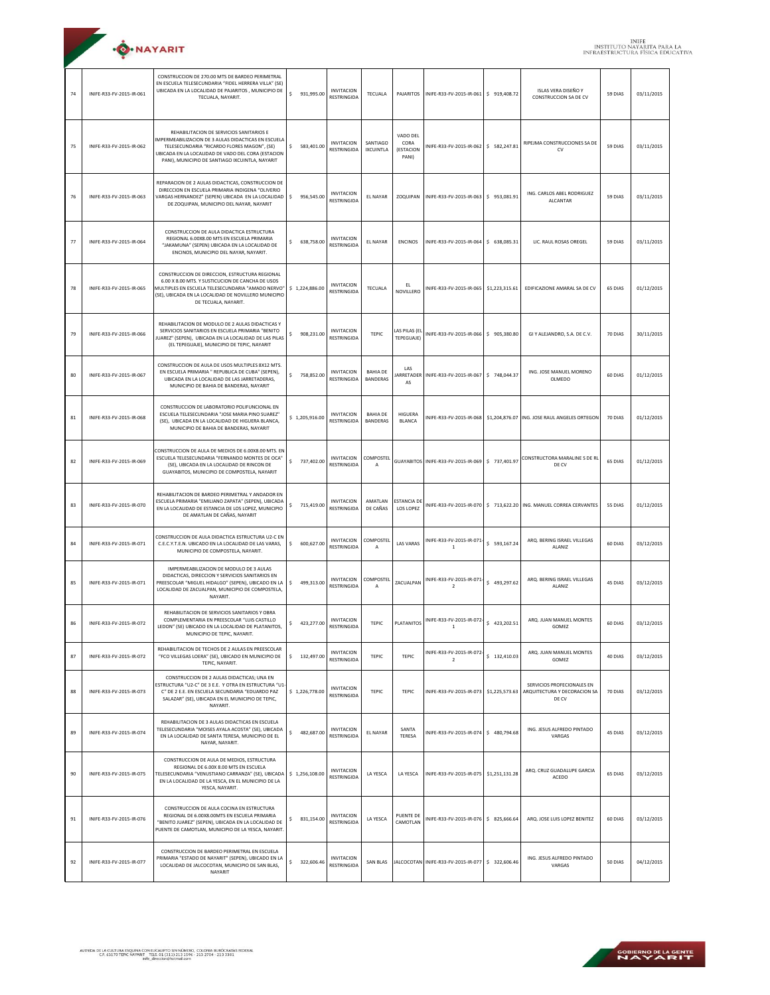| <b>O</b> .NAYARIT |
|-------------------|
|                   |

| 74 | INIFE-R33-FV-2015-IR-061 | CONSTRUCCION DE 270.00 MTS DE BARDEO PERIMETRAL<br>EN ESCUELA TELESECUNDARIA "FIDEL HERRERA VILLA" (SE)<br>UBICADA EN LA LOCALIDAD DE PAJARITOS, MUNICIPIO DE<br>TECUALA, NAYARIT.                                                                      | \$<br>931,995.00  | <b>INVITACION</b><br><b>RESTRINGIDA</b> | TECUALA                            |                                        | PAJARITOS INIFE-R33-FV-2015-IR-061 \$ 919,408.72  |                | ISLAS VERA DISEÑO Y<br>CONSTRUCCION SA DE CV                           | 59 DIAS | 03/11/2015 |
|----|--------------------------|---------------------------------------------------------------------------------------------------------------------------------------------------------------------------------------------------------------------------------------------------------|-------------------|-----------------------------------------|------------------------------------|----------------------------------------|---------------------------------------------------|----------------|------------------------------------------------------------------------|---------|------------|
| 75 | INIFE-R33-FV-2015-IR-062 | REHABILITACION DE SERVICIOS SANITARIOS E<br>IMPERMEABILIZACION DE 3 AULAS DIDACTICAS EN ESCUELA<br>TELESECUNDARIA "RICARDO FLORES MAGON", (SE)<br>UBICADA EN LA LOCALIDAD DE VADO DEL CORA (ESTACION<br>PANI), MUNICIPIO DE SANTIAGO IXCUINTLA, NAYARIT | \$583,401.00      | <b>INVITACION</b><br><b>RESTRINGIDA</b> | SANTIAGO<br><b>IXCUINTLA</b>       | VADO DEL<br>CORA<br>(ESTACION<br>PANI) | INIFE-R33-FV-2015-IR-062 \$ 582,247.81            |                | RIPEJMA CONSTRUCCIONES SA DE<br>CV                                     | 59 DIAS | 03/11/2015 |
| 76 | INIFE-R33-FV-2015-IR-063 | REPARACION DE 2 AULAS DIDACTICAS, CONSTRUCCION DE<br>DIRECCION EN ESCUELA PRIMARIA INDIGENA "OLIVERIO<br>VARGAS HERNANDEZ" (SEPEN) UBICADA EN LA LOCALIDAD<br>DE ZOQUIPAN, MUNICIPIO DEL NAYAR, NAYARIT                                                 | \$<br>956,545.00  | <b>INVITACION</b><br>RESTRINGIDA        | EL NAYAR                           |                                        | ZOQUIPAN INIFE-R33-FV-2015-IR-063 \$ 953,081.91   |                | ING. CARLOS ABEL RODRIGUEZ<br>ALCANTAR                                 | 59 DIAS | 03/11/2015 |
| 77 | INIFE-R33-FV-2015-IR-064 | CONSTRUCCION DE AULA DIDACTICA ESTRUCTURA<br>REGIONAL 6.00X8.00 MTS EN ESCUELA PRIMARIA<br>"JAKAMUNA" (SEPEN) UBICADA EN LA LOCALIDAD DE<br>ENCINOS, MUNICIPIO DEL NAYAR, NAYARIT.                                                                      | \$.<br>638,758.00 | <b>INVITACION</b><br>RESTRINGIDA        | <b>EL NAYAR</b>                    | <b>ENCINOS</b>                         | INIFE-R33-FV-2015-IR-064                          | \$ 638,085.31  | LIC. RAUL ROSAS OREGEL                                                 | 59 DIAS | 03/11/2015 |
| 78 | INIFE-R33-FV-2015-IR-065 | CONSTRUCCION DE DIRECCION, ESTRUCTURA REGIONAL<br>6.00 X 8.00 MTS. Y SUSTICUCION DE CANCHA DE USOS<br>MULTIPLES EN ESCUELA TELESECUNDARIA "AMADO NERVO"<br>(SE), UBICADA EN LA LOCALIDAD DE NOVILLERO MUNICIPIO<br>DE TECUALA, NAYARIT.                 | \$1,224,886.00    | <b>INVITACION</b><br>RESTRINGIDA        | TECUALA                            | EL<br>NOVILLERO                        | INIFE-R33-FV-2015-IR-065 \$1,223,315.61           |                | EDIFICAZIONE AMARAL SA DE CV                                           | 65 DIAS | 01/12/2015 |
| 79 | INIFE-R33-FV-2015-IR-066 | REHABILITACION DE MODULO DE 2 AULAS DIDACTICAS Y<br>SERVICIOS SANITARIOS EN ESCUELA PRIMARIA "BENITO<br>JUAREZ" (SEPEN), UBICADA EN LA LOCALIDAD DE LAS PILAS<br>(EL TEPEGUAJE), MUNICIPIO DE TEPIC, NAYARIT                                            | \$.<br>908,231.00 | <b>INVITACION</b><br>RESTRINGIDA        | TEPIC                              | LAS PILAS (EL<br>TEPEGUAJE)            | INIFE-R33-FV-2015-IR-066 \$905,380.80             |                | GI Y ALEJANDRO, S.A. DE C.V.                                           | 70 DIAS | 30/11/2015 |
| 80 | INIFE-R33-FV-2015-IR-067 | CONSTRUCCION DE AULA DE USOS MULTIPLES 8X12 MTS.<br>EN ESCUELA PRIMARIA " REPUBLICA DE CUBA" (SEPEN).<br>UBICADA EN LA LOCALIDAD DE LAS JARRETADERAS,<br>MUNICIPIO DE BAHIA DE BANDERAS, NAYARIT                                                        | \$.<br>758.852.00 | <b>INVITACION</b><br>RESTRINGIDA        | <b>BAHIA DE</b><br><b>BANDERAS</b> | LAS<br>AS                              | IARRETADER INIFE-R33-FV-2015-IR-067 \$748,044.37  |                | ING. IOSE MANUEL MORENO<br>OLMEDO                                      | 60 DIAS | 01/12/2015 |
| 81 | INIFF-R33-FV-2015-IR-068 | CONSTRUCCION DE LABORATORIO POLIFUNCIONAL EN<br>ESCUELA TELESECUNDARIA "JOSE MARIA PINO SUAREZ"<br>(SE), UBICADA EN LA LOCALIDAD DE HIGUERA BLANCA,<br>MUNICIPIO DE BAHIA DE BANDERAS, NAYARIT                                                          | \$1,205,916.00    | <b>INVITACION</b><br>RESTRINGIDA        | <b>BAHIA DE</b><br><b>BANDERAS</b> | HIGUERA<br><b>BLANCA</b>               |                                                   |                | INIFE-R33-FV-2015-IR-068 \$1,204,876.07 ING. JOSE RAUL ANGELES ORTEGON | 70 DIAS | 01/12/2015 |
| 82 | INIFE-R33-FV-2015-IR-069 | CONSTRUCCION DE AULA DE MEDIOS DE 6.00X8.00 MTS. EN<br>ESCUELA TELESECUNDARIA "FERNANDO MONTES DE OCA"<br>(SE), UBICADA EN LA LOCALIDAD DE RINCON DE<br>GUAYABITOS, MUNICIPIO DE COMPOSTELA, NAYARIT                                                    | \$.<br>737,402.00 | <b>INVITACION</b><br>RESTRINGIDA        | COMPOSTEL<br>A                     |                                        | GUAYABITOS INIFE-R33-FV-2015-IR-069 \$737,401.97  |                | CONSTRUCTORA MARALINE S DE RL<br>DE CV                                 | 65 DIAS | 01/12/2015 |
| 83 | INIFE-R33-FV-2015-IR-070 | REHABILITACION DE BARDEO PERIMETRAL Y ANDADOR EN<br>ESCUELA PRIMARIA "EMILIANO ZAPATA" (SEPEN), UBICADA<br>EN LA LOCALIDAD DE ESTANCIA DE LOS LOPEZ, MUNICIPIO<br>DE AMATLAN DE CAÑAS, NAYARIT                                                          | \$.<br>715,419.00 | <b>INVITACION</b><br>RESTRINGIDA        | AMATLAN<br>DE CAÑAS                | ESTANCIA DE<br><b>LOS LOPEZ</b>        |                                                   |                | INIFE-R33-FV-2015-IR-070   \$ 713,622.20 ING. MANUEL CORREA CERVANTES  | 55 DIAS | 01/12/2015 |
| 84 | INIFE-R33-FV-2015-IR-071 | CONSTRUCCION DE AULA DIDACTICA ESTRUCTURA U2-C EN<br>C.E.C.Y.T.E.N. UBICADO EN LA LOCALIDAD DE LAS VARAS,<br>MUNICIPIO DE COMPOSTELA, NAYARIT.                                                                                                          | \$.<br>600,627.00 | <b>INVITACION</b><br>RESTRINGIDA        | COMPOSTEL<br>А                     | <b>LAS VARAS</b>                       | INIFE-R33-FV-2015-IR-071<br><sup>1</sup>          | \$ 593,167.24  | ARQ. BERING ISRAEL VILLEGAS<br>ALANIZ                                  | 60 DIAS | 03/12/2015 |
| 85 | INIFE-R33-FV-2015-IR-071 | IMPERMEABILIZACION DE MODULO DE 3 AULAS<br>DIDACTICAS, DIRECCION Y SERVICIOS SANITARIOS EN<br>PREESCOLAR "MIGUEL HIDALGO" (SEPEN), UBICADO EN LA<br>LOCALIDAD DE ZACUALPAN, MUNICIPIO DE COMPOSTELA,<br>NAYARIT.                                        | \$<br>499,313.00  | <b>INVITACION</b><br>RESTRINGIDA        | COMPOSTEL<br>Α                     | ZACUALPAN                              | INIFE-R33-FV-2015-IR-071<br>$\overline{2}$        | \$493,297.62   | ARQ. BERING ISRAEL VILLEGAS<br>ALANIZ                                  | 45 DIAS | 03/12/2015 |
| 86 | INIFE-R33-FV-2015-IR-072 | REHABILITACION DE SERVICIOS SANITARIOS Y OBRA<br>COMPLEMENTARIA EN PREESCOLAR "LUIS CASTILLO<br>LEDON" (SE) UBICADO EN LA LOCALIDAD DE PLATANITOS,<br>MUNICIPIO DE TEPIC. NAYARIT.                                                                      | \$ 423,277.00     | <b>INVITACION</b><br>RESTRINGIDA        | <b>TEPIC</b>                       | PLATANITOS                             | INIFE-R33-FV-2015-IR-072-<br>$\mathbf{1}$         | \$423,202.51   | ARQ. JUAN MANUEL MONTES<br>GOMEZ                                       | 60 DIAS | 03/12/2015 |
| 87 | INIFE-R33-FV-2015-IR-072 | REHABILITACION DE TECHOS DE 2 AULAS EN PREESCOLAR<br>"FCO VILLEGAS LOERA" (SE), UBICADO EN MUNICIPIO DE<br>TEPIC, NAYARIT.                                                                                                                              | \$ 132,497.00     | <b>INVITACION</b><br>RESTRINGIDA        | TEPIC                              | TEPIC                                  | INIFE-R33-FV-2015-IR-072<br>$\overline{2}$        | \$132,410.03   | ARQ. JUAN MANUEL MONTES<br>GOMEZ                                       | 40 DIAS | 03/12/2015 |
| 88 | INIFE-R33-FV-2015-IR-073 | CONSTRUCCION DE 2 AULAS DIDACTICAS; UNA EN<br>ESTRUCTURA "U2-C" DE 3 E.E. Y OTRA EN ESTRUCTURA "U1-<br>C" DE 2 E.E. EN ESCUELA SECUNDARIA "EDUARDO PAZ<br>SALAZAR" (SE), UBICADA EN EL MUNICIPIO DE TEPIC,<br>NAYARIT.                                  | \$1,226,778.00    | <b>INVITACION</b><br>RESTRINGIDA        | TEPIC                              | TEPIC                                  | INIFE-R33-FV-2015-IR-073 \$1,225,573.63           |                | SERVICIOS PROFECIONALES EN<br>ARQUITECTURA Y DECORACION SA<br>DE CV    | 70 DIAS | 03/12/2015 |
| 89 | INIFE-R33-FV-2015-IR-074 | REHABILITACION DE 3 AULAS DIDACTICAS EN ESCUELA<br>TELESECUNDARIA "MOISES AYALA ACOSTA" (SE), UBICADA<br>EN LA LOCALIDAD DE SANTA TERESA, MUNICIPIO DE EL<br>NAYAR, NAYARIT.                                                                            | \$<br>482.687.00  | <b>INVITACION</b><br>RESTRINGIDA        | <b>EL NAYAR</b>                    | SANTA<br>TERESA                        | INIFE-R33-FV-2015-IR-074 \$480,794.68             |                | ING. JESUS ALFREDO PINTADO<br>VARGAS                                   | 45 DIAS | 03/12/2015 |
| 90 | INIFE-R33-FV-2015-IR-075 | CONSTRUCCION DE AULA DE MEDIOS, ESTRUCTURA<br>REGIONAL DE 6.00X 8.00 MTS EN ESCUELA<br>FELESECUNDARIA "VENUSTIANO CARRANZA" (SE), UBICADA<br>EN LA LOCALIDAD DE LA YESCA, EN EL MUNICIPIO DE LA<br>YESCA, NAYARIT.                                      | \$1,256,108.00    | <b>INVITACION</b><br>RESTRINGIDA        | LA YESCA                           | <b>LA YESCA</b>                        | INIFE-R33-FV-2015-IR-075                          | \$1,251,131.28 | ARQ. CRUZ GUADALUPE GARCIA<br>ACEDO                                    | 65 DIAS | 03/12/2015 |
| 91 | INIFE-R33-FV-2015-IR-076 | CONSTRUCCION DE AULA COCINA EN ESTRUCTURA<br>REGIONAL DE 6.00X8.00MTS EN ESCUELA PRIMARIA<br>"BENITO JUAREZ" (SEPEN), UBICADA EN LA LOCALIDAD DE<br>PUENTE DE CAMOTLAN, MUNICIPIO DE LA YESCA, NAYARIT.                                                 | \$.<br>831.154.00 | <b>INVITACION</b><br>RESTRINGIDA        | LA YESCA                           | <b>PUENTE DE</b><br>CAMOTLAN           | INIFE-R33-FV-2015-IR-076 \$ 825,666.64            |                | ARQ. JOSE LUIS LOPEZ BENITEZ                                           | 60 DIAS | 03/12/2015 |
| 92 | INIFE-R33-FV-2015-IR-077 | CONSTRUCCION DE BARDEO PERIMETRAL EN ESCUELA<br>PRIMARIA "ESTADO DE NAYARIT" (SEPEN), UBICADO EN LA<br>LOCALIDAD DE JALCOCOTAN, MUNICIPIO DE SAN BLAS,<br>NAYARIT                                                                                       | \$<br>322,606.46  | <b>INVITACION</b><br>RESTRINGIDA        | SAN BLAS                           |                                        | JALCOCOTAN INIFE-R33-FV-2015-IR-077 \$ 322,606.46 |                | ING. JESUS ALFREDO PINTADO<br>VARGAS                                   | 50 DIAS | 04/12/2015 |

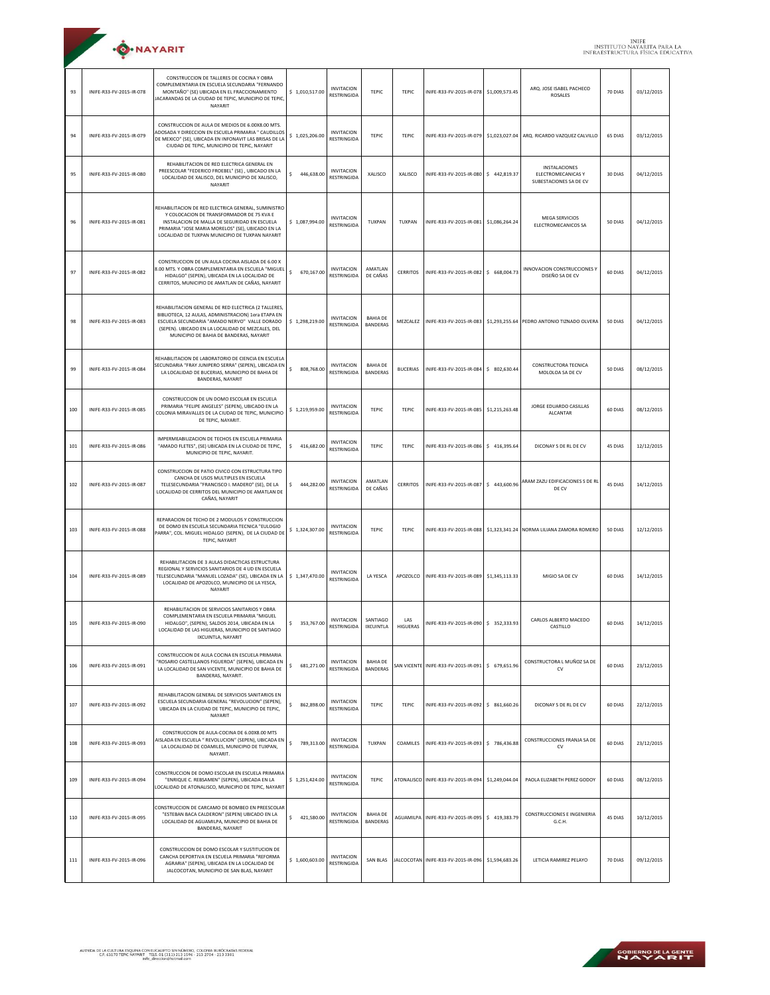|     | ·O·NAYARIT               |                                                                                                                                                                                                                                                             |                  |                                         |                                    |                        |                                                      |                |                                                                                 |         | <b>INIFE</b><br>INSTITUTO NAYARITA PARA LA<br>INFRAESTRUCTURA FÍSICA EDUCATIVA |
|-----|--------------------------|-------------------------------------------------------------------------------------------------------------------------------------------------------------------------------------------------------------------------------------------------------------|------------------|-----------------------------------------|------------------------------------|------------------------|------------------------------------------------------|----------------|---------------------------------------------------------------------------------|---------|--------------------------------------------------------------------------------|
| 93  | INIFE-R33-FV-2015-IR-078 | CONSTRUCCION DE TALLERES DE COCINA Y OBRA<br>COMPLEMENTARIA EN ESCUELA SECUNDARIA "FERNANDO<br>MONTAÑO" (SE) UBICADA EN EL FRACCIONAMIENTO<br>JACARANDAS DE LA CIUDAD DE TEPIC, MUNICIPIO DE TEPIC,<br>NAYARIT                                              | \$1,010,517.00   | <b>INVITACION</b><br>RESTRINGIDA        | TEPIC                              | TEPIC                  | INIFE-R33-FV-2015-IR-078 \$1,009,573.45              |                | ARQ. JOSE ISABEL PACHECO<br>ROSALES                                             | 70 DIAS | 03/12/2015                                                                     |
| 94  | INIFE-R33-FV-2015-IR-079 | CONSTRUCCION DE AULA DE MEDIOS DE 6.00X8.00 MTS.<br>ADOSADA Y DIRECCION EN ESCUELA PRIMARIA " CAUDILLOS<br>DE MEXICO" (SE), UBICADA EN INFONAVIT LAS BRISAS DE LA<br>CIUDAD DE TEPIC, MUNICIPIO DE TEPIC, NAYARIT                                           | \$1,025,206.00   | <b>INVITACION</b><br><b>RESTRINGIDA</b> | <b>TEPIC</b>                       | TEPIC                  | INIFE-R33-FV-2015-IR-079                             |                | \$1,023,027.04 ARQ. RICARDO VAZQUEZ CALVILLO                                    | 65 DIAS | 03/12/2015                                                                     |
| 95  | INIFE-R33-FV-2015-IR-080 | REHABILITACION DE RED ELECTRICA GENERAL EN<br>PREESCOLAR "FEDERICO FROEBEL" (SE), UBICADO EN LA<br>LOCALIDAD DE XALISCO, DEL MUNICIPIO DE XALISCO,<br>NAYARIT                                                                                               | \$<br>446,638.00 | <b>INVITACION</b><br>RESTRINGIDA        | XALISCO                            | XALISCO                | INIFE-R33-FV-2015-IR-080                             | \$442,819.37   | INSTALACIONES<br>ELECTROMECANICAS Y<br>SUBESTACIONES SA DE CV                   | 30 DIAS | 04/12/2015                                                                     |
| 96  | INIFE-R33-FV-2015-IR-081 | REHABILITACION DE RED ELECTRICA GENERAL, SUMINISTRO<br>Y COLOCACION DE TRANSFORMADOR DE 75 KVA E<br>INSTALACION DE MALLA DE SEGURIDAD EN ESCUELA<br>PRIMARIA "JOSE MARIA MORELOS" (SE), UBICADO EN LA<br>LOCALIDAD DE TUXPAN MUNICIPIO DE TUXPAN NAYARIT    | \$1,087,994.00   | <b>INVITACION</b><br><b>RESTRINGIDA</b> | <b>TUXPAN</b>                      | TUXPAN                 | INIFE-R33-FV-2015-IR-081                             | \$1,086,264,24 | <b>MEGA SERVICIOS</b><br>ELECTROMECANICOS SA                                    | 50 DIAS | 04/12/2015                                                                     |
| 97  | INIFE-R33-FV-2015-IR-082 | CONSTRUCCION DE UN AULA COCINA AISLADA DE 6.00 X<br>8.00 MTS. Y OBRA COMPLEMENTARIA EN ESCUELA "MIGUEL<br>HIDALGO" (SEPEN), UBICADA EN LA LOCALIDAD DE<br>CERRITOS, MUNICIPIO DE AMATLAN DE CAÑAS, NAYARIT                                                  | s.<br>670,167.00 | <b>INVITACION</b><br>RESTRINGIDA        | AMATLAN<br>DE CAÑAS                | CERRITOS               | INIFE-R33-FV-2015-IR-082                             | \$ 668,004.73  | INNOVACION CONSTRUCCIONES Y<br>DISEÑO SA DE CV                                  | 60 DIAS | 04/12/2015                                                                     |
| 98  | INIFF-R33-FV-2015-IR-083 | REHABILITACION GENERAL DE RED ELECTRICA (2 TALLERES<br>BIBLIOTECA, 12 AULAS, ADMINISTRACION) 1era ETAPA EN<br>ESCUELA SECUNDARIA "AMADO NERVO" VALLE DORADO<br>(SEPEN). UBICADO EN LA LOCALIDAD DE MEZCALES, DEL<br>MUNICIPIO DE BAHIA DE BANDERAS, NAYARIT | \$1,298,219.00   | <b>INVITACION</b><br>RESTRINGIDA        | <b>BAHIA DE</b><br><b>BANDERAS</b> |                        |                                                      |                | MEZCALEZ   INIFE-R33-FV-2015-IR-083 \$1,293,255.64 PEDRO ANTONIO TIZNADO OLVERA | 50 DIAS | 04/12/2015                                                                     |
| 99  | INIFE-R33-FV-2015-IR-084 | REHABILITACION DE LABORATORIO DE CIENCIA EN ESCUELA<br>SECUNDARIA "FRAY JUNIPERO SERRA" (SEPEN), UBICADA EN<br>LA LOCALIDAD DE BUCERIAS, MUNICIPIO DE BAHIA DE<br>BANDERAS, NAYARIT                                                                         | \$<br>808,768.00 | <b>INVITACION</b><br>RESTRINGIDA        | <b>BAHIA DE</b><br><b>BANDERAS</b> | <b>BUCERIAS</b>        | INIFE-R33-FV-2015-IR-084                             | \$ 802,630.44  | CONSTRUCTORA TECNICA<br>MOLOLOA SA DE CV                                        | 50 DIAS | 08/12/2015                                                                     |
| 100 | INIFE-R33-FV-2015-IR-085 | CONSTRUCCION DE UN DOMO ESCOLAR EN ESCUELA<br>PRIMARIA "FELIPE ANGELES" (SEPEN), UBICADO EN LA<br>COLONIA MIRAVALLES DE LA CIUDAD DE TEPIC, MUNICIPIO<br>DE TEPIC, NAYARIT.                                                                                 | \$1,219,959.00   | <b>INVITACION</b><br>RESTRINGIDA        | <b>TEPIC</b>                       | TEPIC                  | INIFE-R33-FV-2015-IR-085                             | \$1,215,263.48 | JORGE EDUARDO CASILLAS<br>ALCANTAR                                              | 60 DIAS | 08/12/2015                                                                     |
| 101 | INIFE-R33-FV-2015-IR-086 | IMPERMEABILIZACION DE TECHOS EN ESCUELA PRIMARIA<br>"AMADO FLETES", (SE) UBICADA EN LA CIUDAD DE TEPIC,<br>MUNICIPIO DE TEPIC, NAYARIT.                                                                                                                     | \$<br>416,682.00 | <b>INVITACION</b><br>RESTRINGIDA        | TEPIC                              | TEPIC                  | INIFE-R33-FV-2015-IR-086                             | \$416,395.64   | DICONAY S DE RL DE CV                                                           | 45 DIAS | 12/12/2015                                                                     |
| 102 | INIFE-R33-FV-2015-IR-087 | CONSTRUCCION DE PATIO CIVICO CON ESTRUCTURA TIPO<br>CANCHA DE USOS MULTIPLES EN ESCUELA<br>TELESECUNDARIA "FRANCISCO I. MADERO" (SE), DE LA<br>LOCALIDAD DE CERRITOS DEL MUNICIPIO DE AMATLAN DE<br>CAÑAS, NAYARIT                                          | 444,282.00<br>S. | <b>INVITACION</b><br>RESTRINGIDA        | AMATLAN<br>DE CAÑAS                | CERRITOS               | INIFE-R33-FV-2015-IR-087                             | \$443,600.96   | ARAM ZAZU EDIFICACIONES S DE RL<br>DE CV                                        | 45 DIAS | 14/12/2015                                                                     |
| 103 | INIFE-R33-FV-2015-IR-088 | REPARACION DE TECHO DE 2 MODULOS Y CONSTRUCCION<br>DE DOMO EN ESCUELA SECUNDARIA TECNICA "EULOGIO<br>PARRA", COL. MIGUEL HIDALGO (SEPEN), DE LA CIUDAD DE<br>TEPIC, NAYARIT                                                                                 | \$1,324,307.00   | <b>INVITACION</b><br>RESTRINGIDA        | TEPIC                              | TEPIC                  | INIFE-R33-FV-2015-IR-088                             |                | \$1,323,341.24 NORMA LILIANA ZAMORA ROMERO                                      | 50 DIAS | 12/12/2015                                                                     |
| 104 | INIFE-R33-FV-2015-IR-089 | REHABILITACION DE 3 AULAS DIDACTICAS ESTRUCTURA<br>REGIONAL Y SERVICIOS SANITARIOS DE 4 UD EN ESCUELA<br>TELESECUNDARIA "MANUEL LOZADA" (SE), UBICADA EN LA<br>LOCALIDAD DE APOZOLCO, MUNICIPIO DE LA YESCA,<br>NAYARIT                                     | \$1,347,470.00   | <b>INVITACION</b><br><b>RESTRINGIDA</b> | LA YESCA                           |                        | APOZOLCO INIFE-R33-FV-2015-IR-089                    | \$1,345,113.33 | MIGIO SA DE CV                                                                  | 60 DIAS | 14/12/2015                                                                     |
| 105 | INIFE-R33-FV-2015-IR-090 | REHABILITACION DE SERVICIOS SANITARIOS Y OBRA<br>COMPLEMENTARIA EN ESCUELA PRIMARIA "MIGUEL<br>HIDALGO", (SEPEN), SALDOS 2014, UBICADA EN LA<br>LOCALIDAD DE LAS HIGUERAS, MUNICIPIO DE SANTIAGO<br>IXCUINTLA, NAYARIT                                      | \$353,767.00     | <b>INVITACION</b><br>RESTRINGIDA        | SANTIAGO<br><b>IXCUINTLA</b>       | LAS<br><b>HIGUERAS</b> | INIFE-R33-FV-2015-IR-090 \$ 352,333.93               |                | CARLOS ALBERTO MACEDO<br>CASTILLO                                               | 60 DIAS | 14/12/2015                                                                     |
| 106 | INIFE-R33-FV-2015-IR-091 | CONSTRUCCION DE AULA COCINA EN ESCUELA PRIMARIA<br>'ROSARIO CASTELLANOS FIGUEROA" (SEPEN), UBICADA EN<br>LA LOCALIDAD DE SAN VICENTE, MUNICIPIO DE BAHIA DE<br>BANDERAS, NAYARIT.                                                                           | \$<br>681,271.00 | <b>INVITACION</b><br>RESTRINGIDA        | <b>BAHIA DE</b><br><b>BANDERAS</b> |                        | SAN VICENTE INIFE-R33-FV-2015-IR-091                 | \$ 679,651.96  | CONSTRUCTORA L MUÑOZ SA DE<br>CV                                                | 60 DIAS | 23/12/2015                                                                     |
| 107 | INIFE-R33-FV-2015-IR-092 | REHABILITACION GENERAL DE SERVICIOS SANITARIOS EN<br>ESCUELA SECUNDARIA GENERAL "REVOLUCION" (SEPEN),<br>UBICADA EN LA CIUDAD DE TEPIC, MUNICIPIO DE TEPIC,<br>NAYARIT                                                                                      | \$<br>862,898.00 | <b>INVITACION</b><br>RESTRINGIDA        | <b>TEPIC</b>                       | TEPIC                  | INIFE-R33-FV-2015-IR-092 \$ 861,660.26               |                | DICONAY S DE RL DE CV                                                           | 60 DIAS | 22/12/2015                                                                     |
| 108 | INIFE-R33-FV-2015-IR-093 | CONSTRUCCION DE AULA-COCINA DE 6.00X8.00 MTS<br>AISLADA EN ESCUELA " REVOLUCION" (SEPEN), UBICADA EN<br>LA LOCALIDAD DE COAMILES, MUNICIPIO DE TUXPAN,<br>NAYARIT.                                                                                          | \$<br>789,313.00 | <b>INVITACION</b><br>RESTRINGIDA        | TUXPAN                             |                        | COAMILES   INIFE-R33-FV-2015-IR-093 \$ 786,436.88    |                | CONSTRUCCIONES FRANJA SA DE<br>CV                                               | 60 DIAS | 23/12/2015                                                                     |
| 109 | INIFE-R33-FV-2015-IR-094 | CONSTRUCCION DE DOMO ESCOLAR EN ESCUELA PRIMARIA<br>"ENRIQUE C. REBSAMEN" (SEPEN), UBICADA EN LA<br>LOCALIDAD DE ATONALISCO, MUNICIPIO DE TEPIC, NAYARIT                                                                                                    | \$1,251,424.00   | <b>INVITACION</b><br>RESTRINGIDA        | <b>TEPIC</b>                       |                        | ATONALISCO INIFE-R33-FV-2015-IR-094                  | \$1,249,044.04 | PAOLA ELIZABETH PEREZ GODOY                                                     | 60 DIAS | 08/12/2015                                                                     |
| 110 | INIFE-R33-FV-2015-IR-095 | CONSTRUCCION DE CARCAMO DE BOMBEO EN PREESCOLAR<br>"ESTEBAN BACA CALDERON" (SEPEN) UBICADO EN LA<br>LOCALIDAD DE AGUAMILPA, MUNICIPIO DE BAHIA DE<br>BANDERAS, NAYARIT                                                                                      | \$<br>421,580.00 | <b>INVITACION</b><br>RESTRINGIDA        | <b>BAHIA DE</b><br><b>BANDERAS</b> |                        | AGUAMILPA   INIFE-R33-FV-2015-IR-095   \$ 419,383.79 |                | CONSTRUCCIONES E INGENIERIA<br>G.C.H.                                           | 45 DIAS | 10/12/2015                                                                     |
| 111 | INIFE-R33-FV-2015-IR-096 | CONSTRUCCION DE DOMO ESCOLAR Y SUSTITUCION DE<br>CANCHA DEPORTIVA EN ESCUELA PRIMARIA "REFORMA<br>AGRARIA" (SEPEN), UBICADA EN LA LOCALIDAD DE<br>JALCOCOTAN, MUNICIPIO DE SAN BLAS, NAYARIT                                                                | \$1,600,603.00   | <b>INVITACION</b><br>RESTRINGIDA        | SAN BLAS                           |                        | JALCOCOTAN INIFE-R33-FV-2015-IR-096                  | \$1,594,683.26 | LETICIA RAMIREZ PELAYO                                                          | 70 DIAS | 09/12/2015                                                                     |

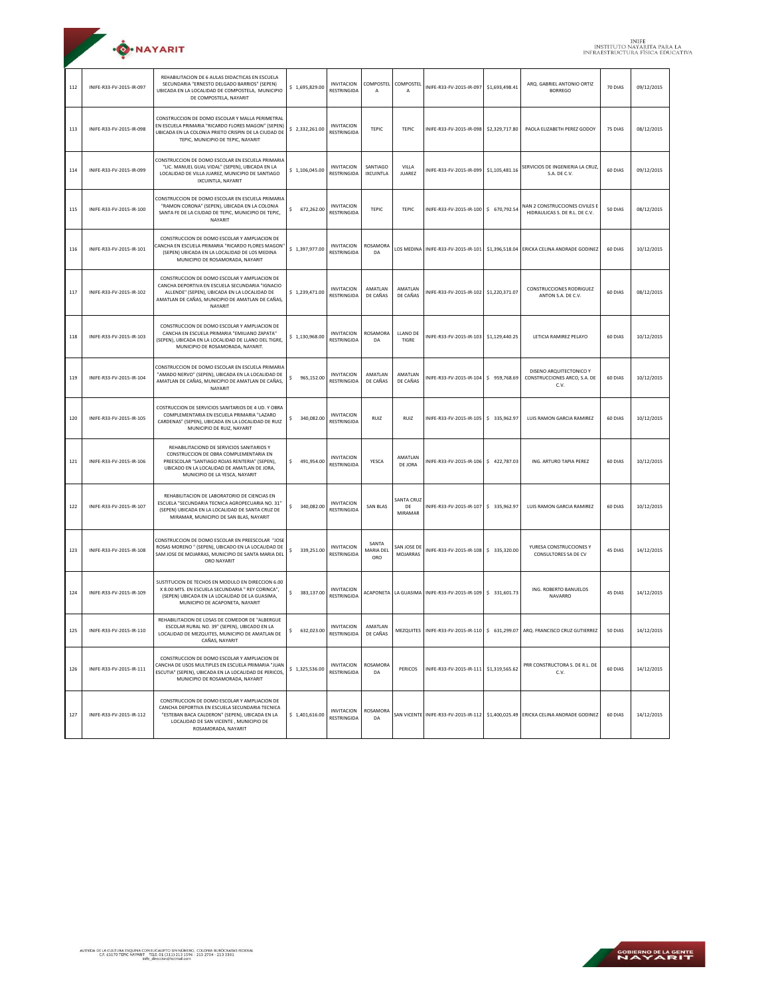| <b>O</b> .NAYARIT |  |
|-------------------|--|

| 112 | INIFE-R33-FV-2015-IR-097 | REHABILITACION DE 6 AULAS DIDACTICAS EN ESCUELA<br>SECUNDARIA "ERNESTO DELGADO BARRIOS" (SEPEN)<br>UBICADA EN LA LOCALIDAD DE COMPOSTELA, MUNICIPIO<br>DE COMPOSTELA, NAYARIT                                         | \$1,695,829.00   | <b>INVITACION</b><br>RESTRINGIDA        | COMPOSTEL<br>A               | COMPOSTEL<br>$\overline{A}$ | INIFE-R33-FV-2015-IR-097                          | \$1,693,498.41 | ARO, GABRIEL ANTONIO ORTIZ<br><b>BORREGO</b>                                         | 70 DIAS | 09/12/2015 |
|-----|--------------------------|-----------------------------------------------------------------------------------------------------------------------------------------------------------------------------------------------------------------------|------------------|-----------------------------------------|------------------------------|-----------------------------|---------------------------------------------------|----------------|--------------------------------------------------------------------------------------|---------|------------|
| 113 | INIFE-R33-FV-2015-IR-098 | CONSTRUCCION DE DOMO ESCOLAR Y MALLA PERIMETRAL<br>EN ESCUELA PRIMARIA "RICARDO FLORES MAGON" (SEPEN)<br>UBICADA EN LA COLONIA PRIETO CRISPIN DE LA CIUDAD DE<br>TEPIC, MUNICIPIO DE TEPIC, NAYARIT                   | \$2,332,261.00   | <b>INVITACION</b><br>RESTRINGIDA        | TEPIC                        | <b>TEPIC</b>                | INIFE-R33-FV-2015-IR-098                          | \$2,329,717.80 | PAOLA ELIZABETH PEREZ GODOY                                                          | 75 DIAS | 08/12/2015 |
| 114 | INIFE-R33-FV-2015-IR-099 | CONSTRUCCION DE DOMO ESCOLAR EN ESCUELA PRIMARIA<br>"LIC. MANUEL GUAL VIDAL" (SEPEN), UBICADA EN LA<br>LOCALIDAD DE VILLA JUAREZ, MUNICIPIO DE SANTIAGO<br>IXCUINTLA, NAYARIT                                         | \$1,106,045.00   | <b>INVITACION</b><br><b>RESTRINGIDA</b> | SANTIAGO<br><b>IXCUINTLA</b> | VILLA<br><b>JUAREZ</b>      | INIFE-R33-FV-2015-IR-099                          | \$1,105,481.16 | SERVICIOS DE INGENIERIA LA CRUZ<br>S.A. DE C.V.                                      | 60 DIAS | 09/12/2015 |
| 115 | INIFE-R33-FV-2015-IR-100 | CONSTRUCCION DE DOMO ESCOLAR EN ESCUELA PRIMARIA<br>"RAMON CORONA" (SEPEN), UBICADA EN LA COLONIA<br>SANTA FE DE LA CIUDAD DE TEPIC, MUNICIPIO DE TEPIC,<br>NAYARIT                                                   | \$<br>672,262.00 | <b>INVITACION</b><br>RESTRINGIDA        | TEPIC                        | <b>TEPIC</b>                | INIFE-R33-FV-2015-IR-100 \$ 670,792.54            |                | NAN 2 CONSTRUCCIONES CIVILES E<br>HIDRAULICAS S. DE R.L. DE C.V.                     | 50 DIAS | 08/12/2015 |
| 116 | INIFE-R33-FV-2015-IR-101 | CONSTRUCCION DE DOMO ESCOLAR Y AMPLIACION DE<br>'ANCHA EN ESCUELA PRIMARIA "RICARDO FLORES MAGON<br>(SEPEN) UBICADA EN LA LOCALIDAD DE LOS MEDINA<br>MUNICIPIO DE ROSAMORADA, NAYARIT                                 | \$1,397,977.00   | <b>INVITACION</b><br><b>RESTRINGIDA</b> | <b>ROSAMORA</b><br>DA        |                             | LOS MEDINA INIFE-R33-FV-2015-IR-101               | \$1,396,518.04 | ERICKA CELINA ANDRADE GODINEZ                                                        | 60 DIAS | 10/12/2015 |
| 117 | INIFE-R33-FV-2015-IR-102 | CONSTRUCCION DE DOMO ESCOLAR Y AMPLIACION DE<br>CANCHA DEPORTIVA EN ESCUELA SECUNDARIA "IGNACIO<br>ALLENDE" (SEPEN), UBICADA EN LA LOCALIDAD DE<br>AMATLAN DE CAÑAS, MUNICIPIO DE AMATLAN DE CAÑAS,<br>NAYARIT        | \$1.239.471.00   | <b>INVITACION</b><br>RESTRINGIDA        | AMATLAN<br>DE CAÑAS          | AMATLAN<br>DE CAÑAS         | INIFE-R33-FV-2015-IR-102 \$1,220,371.07           |                | <b>CONSTRUCCIONES RODRIGUEZ</b><br>ANTON S.A. DE C.V.                                | 60 DIAS | 08/12/2015 |
| 118 | INIFE-R33-FV-2015-IR-103 | CONSTRUCCION DE DOMO ESCOLAR Y AMPLIACION DE<br>CANCHA EN ESCUELA PRIMARIA "EMILIANO ZAPATA"<br>(SEPEN), UBICADA EN LA LOCALIDAD DE LLANO DEL TIGRE,<br>MUNICIPIO DE ROSAMORADA, NAYARIT.                             | \$1,130,968.00   | <b>INVITACION</b><br>RESTRINGIDA        | ROSAMORA<br>DA               | LLANO DE<br>TIGRE           | INIFE-R33-FV-2015-IR-103                          | \$1,129,440.25 | LETICIA RAMIREZ PELAYO                                                               | 60 DIAS | 10/12/2015 |
| 119 | INIFE-R33-FV-2015-IR-104 | CONSTRUCCION DE DOMO ESCOLAR EN ESCUELA PRIMARIA<br>"AMADO NERVO" (SEPEN), UBICADA EN LA LOCALIDAD DE<br>AMATLAN DE CAÑAS, MUNICIPIO DE AMATLAN DE CAÑAS,<br>NAYARIT                                                  | \$<br>965.152.00 | <b>INVITACION</b><br>RESTRINGIDA        | AMATLAN<br>DE CAÑAS          | AMATLAN<br>DE CAÑAS         | INIFE-R33-FV-2015-IR-104 \$959,768.69             |                | DISENO ARQUITECTONICO Y<br>CONSTRUCCIONES ARCO, S.A. DE<br>C.V.                      | 60 DIAS | 10/12/2015 |
| 120 | INIFE-R33-FV-2015-IR-105 | COSTRUCCION DE SERVICIOS SANITARIOS DE 4 UD. Y OBRA<br>COMPLEMENTARIA EN ESCUELA PRIMARIA "LAZARO<br>CARDENAS" (SEPEN), UBICADA EN LA LOCALIDAD DE RUIZ<br>MUNICIPIO DE RUIZ, NAYARIT                                 | 340,082.00<br>\$ | <b>INVITACION</b><br>RESTRINGIDA        | RUIZ                         | RUIZ                        | INIFE-R33-FV-2015-IR-105                          | \$ 335,962.97  | LUIS RAMON GARCIA RAMIREZ                                                            | 60 DIAS | 10/12/2015 |
| 121 | INIFE-R33-FV-2015-IR-106 | REHABILITACIOND DE SERVICIOS SANITARIOS Y<br>CONSTRUCCION DE OBRA COMPLEMENTARIA EN<br>PREESCOLAR "SANTIAGO ROJAS RENTERIA" (SEPEN),<br>UBICADO EN LA LOCALIDAD DE AMATLAN DE JORA,<br>MUNICIPIO DE LA YESCA, NAYARIT | \$<br>491,954.00 | <b>INVITACION</b><br><b>RESTRINGIDA</b> | YESCA                        | AMATLAN<br>DE JORA          | INIFE-R33-FV-2015-IR-106 \$ 422,787.03            |                | ING. ARTURO TAPIA PEREZ                                                              | 60 DIAS | 10/12/2015 |
| 122 | INIFE-R33-FV-2015-IR-107 | REHABILITACION DE LABORATORIO DE CIENCIAS EN<br>ESCUELA "SECUNDARIA TECNICA AGROPECUARIA NO. 31"<br>(SEPEN) UBICADA EN LA LOCALIDAD DE SANTA CRUZ DE<br>MIRAMAR, MUNICIPIO DE SAN BLAS, NAYARIT                       | 340,082.00<br>\$ | <b>INVITACION</b><br>RESTRINGIDA        | SAN BLAS                     | SANTA CRUZ<br>DE<br>MIRAMAR | INIFE-R33-FV-2015-IR-107 \$ 335,962.97            |                | LUIS RAMON GARCIA RAMIREZ                                                            | 60 DIAS | 10/12/2015 |
| 123 | INIFE-R33-FV-2015-IR-108 | CONSTRUCCION DE DOMO ESCOLAR EN PREESCOLAR "JOSE<br>ROSAS MORENO " (SEPEN), UBICADO EN LA LOCALIDAD DE<br>SAM JOSE DE MOJARRAS, MUNICIPIO DE SANTA MARIA DEL<br>ORO NAYARIT                                           | 339,251.00<br>\$ | <b>INVITACION</b><br>RESTRINGIDA        | SANTA<br>MARIA DEL<br>ORO    | SAN JOSE DE<br>MOJARRAS     | INIFE-R33-FV-2015-IR-108                          | \$ 335,320.00  | YURESA CONSTRUCCIONES Y<br>CONSULTORES SA DE CV                                      | 45 DIAS | 14/12/2015 |
| 124 | INIFE-R33-FV-2015-IR-109 | SUSTITUCION DE TECHOS EN MODULO EN DIRECCION 6.00<br>X 8.00 MTS. EN ESCUELA SECUNDARIA " REY CORINCA",<br>(SEPEN) UBICADA EN LA LOCALIDAD DE LA GUASIMA,<br>MUNICIPIO DE ACAPONETA, NAYARIT                           | \$<br>383,137.00 | <b>INVITACION</b><br><b>RESTRINGIDA</b> |                              |                             | ACAPONETA   LA GUASIMA   INIFE-R33-FV-2015-IR-109 | \$ 331,601.73  | ING. ROBERTO BANUELOS<br>NAVARRO                                                     | 45 DIAS | 14/12/2015 |
| 125 | INIFE-R33-FV-2015-IR-110 | REHABILITACION DE LOSAS DE COMEDOR DE "ALBERGUE<br>ESCOLAR RURAL NO. 39" (SEPEN), UBICADO EN LA<br>LOCALIDAD DE MEZQUITES, MUNICIPIO DE AMATLAN DE<br>CAÑAS, NAYARIT                                                  | 632,023.00       | <b>INVITACION</b><br>RESTRINGIDA        | AMATLAN<br>DE CAÑAS          |                             |                                                   |                | MEZQUITES   INIFE-R33-FV-2015-IR-110   \$ 631,299.07   ARQ. FRANCISCO CRUZ GUTIERREZ | 50 DIAS | 14/12/2015 |
| 126 | INIFE-R33-FV-2015-IR-111 | CONSTRUCCION DE DOMO ESCOLAR Y AMPLIACION DE<br>CANCHA DE USOS MULTIPLES EN ESCUELA PRIMARIA "JUAN<br>ESCUTIA" (SEPEN), UBICADA EN LA LOCALIDAD DE PERICOS,<br>MUNICIPIO DE ROSAMORADA, NAYARIT                       | \$1,325,536.00   | <b>INVITACION</b><br>RESTRINGIDA        | ROSAMORA<br>DA               | PERICOS                     | INIFE-R33-FV-2015-IR-111 \$1,319,565.62           |                | PRR CONSTRUCTORA S. DE R.L. DE<br>C.V.                                               | 60 DIAS | 14/12/2015 |
| 127 | INIFE-R33-FV-2015-IR-112 | CONSTRUCCION DE DOMO ESCOLAR Y AMPLIACION DE<br>CANCHA DEPORTIVA EN ESCUELA SECUNDARIA TECNICA<br>"ESTEBAN BACA CALDERON" (SEPEN), UBICADA EN LA<br>LOCALIDAD DE SAN VICENTE, MUNICIPIO DE<br>ROSAMORADA, NAYARIT     | \$1,401,616.00   | <b>INVITACION</b><br>RESTRINGIDA        | ROSAMORA<br>DA               |                             |                                                   |                | SAN VICENTE INIFE-R33-FV-2015-IR-112 \$1,400,025.49 ERICKA CELINA ANDRADE GODINEZ    | 60 DIAS | 14/12/2015 |